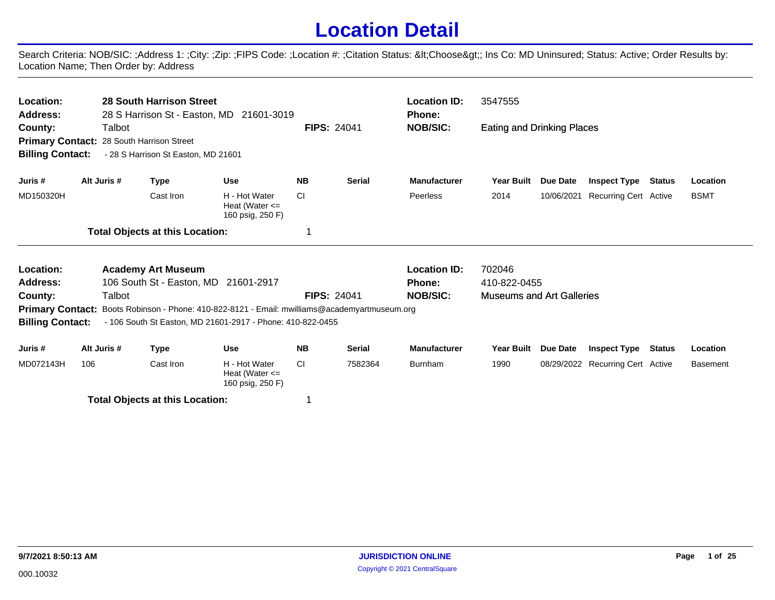## **Location Detail**

Search Criteria: NOB/SIC: ;Address 1: ;City: ;Zip: ;FIPS Code: ;Location #: ;Citation Status: <Choose&gt;; Ins Co: MD Uninsured; Status: Active; Order Results by: Location Name; Then Order by: Address

| Location:<br><b>Address:</b><br>County:<br><b>Billing Contact:</b> | Talbot      | <b>28 South Harrison Street</b><br>28 S Harrison St - Easton, MD 21601-3019<br>Primary Contact: 28 South Harrison Street<br>- 28 S Harrison St Easton, MD 21601    |                                                         |                    | <b>FIPS: 24041</b> | <b>Location ID:</b><br>Phone:<br><b>NOB/SIC:</b>        | 3547555<br><b>Eating and Drinking Places</b>               |                 |                                  |               |                 |
|--------------------------------------------------------------------|-------------|--------------------------------------------------------------------------------------------------------------------------------------------------------------------|---------------------------------------------------------|--------------------|--------------------|---------------------------------------------------------|------------------------------------------------------------|-----------------|----------------------------------|---------------|-----------------|
| Juris #                                                            | Alt Juris # | <b>Type</b>                                                                                                                                                        | <b>Use</b>                                              | <b>NB</b>          | <b>Serial</b>      | <b>Manufacturer</b>                                     | <b>Year Built</b>                                          | Due Date        | <b>Inspect Type</b>              | <b>Status</b> | Location        |
| MD150320H                                                          |             | Cast Iron                                                                                                                                                          | H - Hot Water<br>Heat (Water $\leq$<br>160 psig, 250 F) | <b>CI</b>          |                    | Peerless                                                | 2014                                                       | 10/06/2021      | <b>Recurring Cert Active</b>     |               | <b>BSMT</b>     |
|                                                                    |             | <b>Total Objects at this Location:</b>                                                                                                                             |                                                         | 1                  |                    |                                                         |                                                            |                 |                                  |               |                 |
| Location:<br><b>Address:</b><br>County:                            | Talbot      | <b>Academy Art Museum</b><br>106 South St - Easton, MD 21601-2917<br>Primary Contact: Boots Robinson - Phone: 410-822-8121 - Email: mwilliams@academyartmuseum.org |                                                         | <b>FIPS: 24041</b> |                    | <b>Location ID:</b><br><b>Phone:</b><br><b>NOB/SIC:</b> | 702046<br>410-822-0455<br><b>Museums and Art Galleries</b> |                 |                                  |               |                 |
| <b>Billing Contact:</b>                                            |             | - 106 South St Easton, MD 21601-2917 - Phone: 410-822-0455                                                                                                         |                                                         |                    |                    |                                                         |                                                            |                 |                                  |               |                 |
| Juris #                                                            | Alt Juris # | <b>Type</b>                                                                                                                                                        | <b>Use</b>                                              | <b>NB</b>          | <b>Serial</b>      | <b>Manufacturer</b>                                     | <b>Year Built</b>                                          | <b>Due Date</b> | <b>Inspect Type</b>              | <b>Status</b> | Location        |
| MD072143H                                                          | 106         | Cast Iron                                                                                                                                                          | H - Hot Water<br>Heat (Water $\leq$<br>160 psig, 250 F) | <b>CI</b>          | 7582364            | Burnham                                                 | 1990                                                       |                 | 08/29/2022 Recurring Cert Active |               | <b>Basement</b> |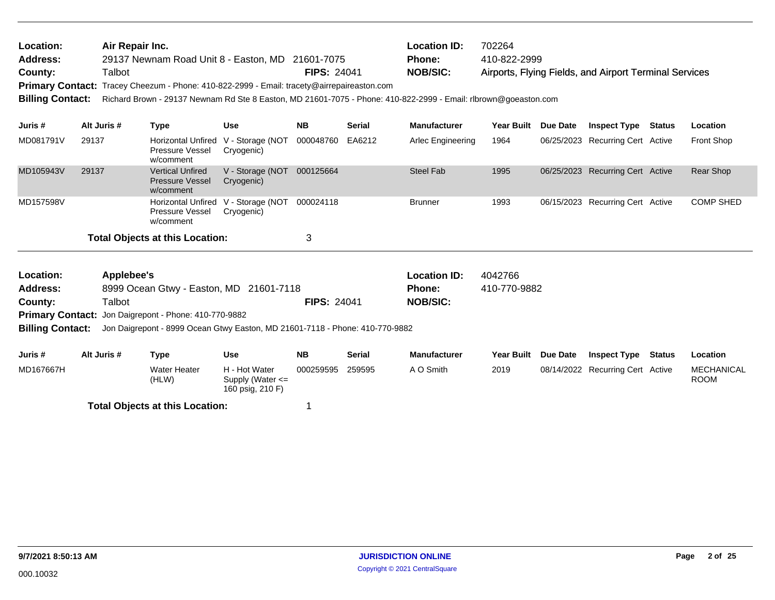| Location:<br>Address:<br>County:<br><b>Primary Contact:</b><br><b>Billing Contact:</b> | Air Repair Inc.<br>Talbot                             | 29137 Newnam Road Unit 8 - Easton, MD 21601-7075<br>Tracey Cheezum - Phone: 410-822-2999 - Email: tracety@airrepaireaston.com<br>Richard Brown - 29137 Newnam Rd Ste 8 Easton, MD 21601-7075 - Phone: 410-822-2999 - Email: rlbrown@goeaston.com |                                                   | <b>FIPS: 24041</b>                   |                         | <b>Location ID:</b><br><b>Phone:</b><br><b>NOB/SIC:</b> | 702264<br>410-822-2999 |                 | Airports, Flying Fields, and Airport Terminal Services |        |                   |
|----------------------------------------------------------------------------------------|-------------------------------------------------------|--------------------------------------------------------------------------------------------------------------------------------------------------------------------------------------------------------------------------------------------------|---------------------------------------------------|--------------------------------------|-------------------------|---------------------------------------------------------|------------------------|-----------------|--------------------------------------------------------|--------|-------------------|
| Juris #                                                                                | Alt Juris #                                           | <b>Type</b>                                                                                                                                                                                                                                      | <b>Use</b>                                        | <b>NB</b>                            | <b>Serial</b>           | <b>Manufacturer</b>                                     | <b>Year Built</b>      | <b>Due Date</b> | <b>Inspect Type</b>                                    | Status | Location          |
| MD081791V                                                                              | 29137                                                 | Pressure Vessel<br>w/comment                                                                                                                                                                                                                     | Horizontal Unfired V - Storage (NOT<br>Cryogenic) | 000048760                            | EA6212                  | Arlec Engineering                                       | 1964                   |                 | 06/25/2023 Recurring Cert Active                       |        | <b>Front Shop</b> |
| MD105943V                                                                              | 29137                                                 | <b>Vertical Unfired</b><br><b>Pressure Vessel</b><br>w/comment                                                                                                                                                                                   | V - Storage (NOT<br>Cryogenic)                    | 000125664                            |                         | <b>Steel Fab</b>                                        | 1995                   |                 | 06/25/2023 Recurring Cert Active                       |        | <b>Rear Shop</b>  |
| MD157598V                                                                              |                                                       | <b>Horizontal Unfired</b><br>Pressure Vessel<br>w/comment                                                                                                                                                                                        | V - Storage (NOT<br>Cryogenic)                    | 000024118                            |                         | <b>Brunner</b>                                          | 1993                   |                 | 06/15/2023 Recurring Cert Active                       |        | <b>COMP SHED</b>  |
|                                                                                        |                                                       | <b>Total Objects at this Location:</b>                                                                                                                                                                                                           |                                                   | 3                                    |                         |                                                         |                        |                 |                                                        |        |                   |
| Location:<br>Address:                                                                  | Applebee's<br>8999 Ocean Gtwy - Easton, MD 21601-7118 |                                                                                                                                                                                                                                                  |                                                   | <b>Location ID:</b><br><b>Phone:</b> | 4042766<br>410-770-9882 |                                                         |                        |                 |                                                        |        |                   |
| County:                                                                                | Talbot                                                |                                                                                                                                                                                                                                                  |                                                   | <b>FIPS: 24041</b>                   |                         | <b>NOB/SIC:</b>                                         |                        |                 |                                                        |        |                   |
|                                                                                        |                                                       | Primary Contact: Jon Daigrepont - Phone: 410-770-9882                                                                                                                                                                                            |                                                   |                                      |                         |                                                         |                        |                 |                                                        |        |                   |
| <b>Billing Contact:</b>                                                                |                                                       | Jon Daigrepont - 8999 Ocean Gtwy Easton, MD 21601-7118 - Phone: 410-770-9882                                                                                                                                                                     |                                                   |                                      |                         |                                                         |                        |                 |                                                        |        |                   |
| Juris #                                                                                | Alt Juris #                                           | <b>Type</b>                                                                                                                                                                                                                                      | <b>Use</b>                                        | <b>NB</b>                            | <b>Serial</b>           | <b>Manufacturer</b>                                     | Year Built Due Date    |                 | Inspect Type                                           | Status | Location          |
| MD167667H                                                                              |                                                       | <b>Water Heater</b>                                                                                                                                                                                                                              | H - Hot Water                                     | 000259595                            | 259595                  | A O Smith                                               | 2019                   |                 | 08/14/2022 Recurring Cert Active                       |        | <b>MECHANICAL</b> |

(HLW)

**Total Objects at this Location:** 1

Supply (Water <= 160 psig, 210 F)

000259595 259595 A O Smith 2019 08/14/2022 Recurring Cert Active MECHANICAL

ROOM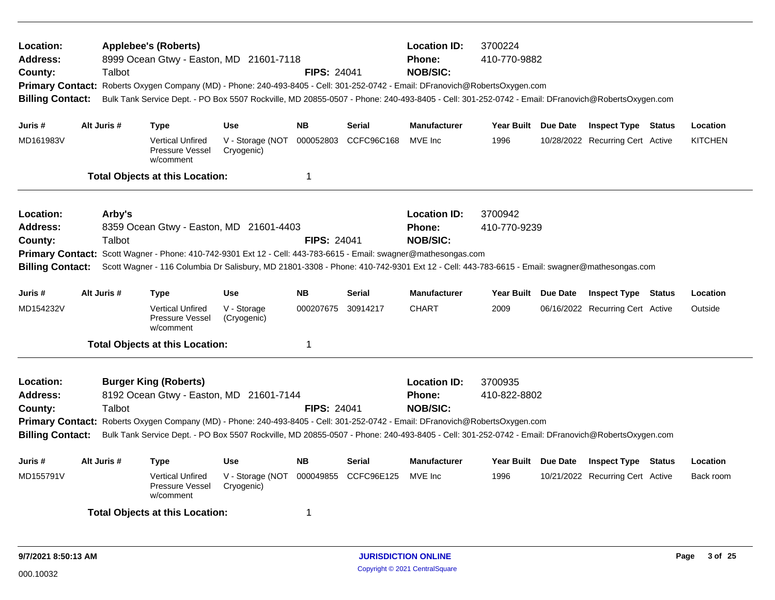| Location:<br><b>Address:</b><br>County:<br>Primary Contact: Roberts Oxygen Company (MD) - Phone: 240-493-8405 - Cell: 301-252-0742 - Email: DFranovich@RobertsOxygen.com<br><b>Billing Contact:</b><br>Juris #                                                                                                                                                                                                                                             |  | Talbot           | <b>Applebee's (Roberts)</b><br>8999 Ocean Gtwy - Easton, MD 21601-7118<br>Bulk Tank Service Dept. - PO Box 5507 Rockville, MD 20855-0507 - Phone: 240-493-8405 - Cell: 301-252-0742 - Email: DFranovich@RobertsOxygen.com                                                                |                                | <b>FIPS: 24041</b> |                      | <b>Location ID:</b><br><b>Phone:</b><br><b>NOB/SIC:</b> | 3700224<br>410-770-9882 |          |                                  |                |
|------------------------------------------------------------------------------------------------------------------------------------------------------------------------------------------------------------------------------------------------------------------------------------------------------------------------------------------------------------------------------------------------------------------------------------------------------------|--|------------------|------------------------------------------------------------------------------------------------------------------------------------------------------------------------------------------------------------------------------------------------------------------------------------------|--------------------------------|--------------------|----------------------|---------------------------------------------------------|-------------------------|----------|----------------------------------|----------------|
|                                                                                                                                                                                                                                                                                                                                                                                                                                                            |  | Alt Juris #      | Type                                                                                                                                                                                                                                                                                     | <b>Use</b>                     | <b>NB</b>          | <b>Serial</b>        | <b>Manufacturer</b>                                     | Year Built Due Date     |          | <b>Inspect Type Status</b>       | Location       |
| MD161983V                                                                                                                                                                                                                                                                                                                                                                                                                                                  |  |                  | <b>Vertical Unfired</b><br>Pressure Vessel<br>w/comment                                                                                                                                                                                                                                  | V - Storage (NOT<br>Cryogenic) |                    | 000052803 CCFC96C168 | MVE Inc                                                 | 1996                    |          | 10/28/2022 Recurring Cert Active | <b>KITCHEN</b> |
|                                                                                                                                                                                                                                                                                                                                                                                                                                                            |  |                  | <b>Total Objects at this Location:</b>                                                                                                                                                                                                                                                   |                                | 1                  |                      |                                                         |                         |          |                                  |                |
| Location:<br><b>Address:</b><br>County:<br><b>Primary Contact:</b><br><b>Billing Contact:</b>                                                                                                                                                                                                                                                                                                                                                              |  | Arby's<br>Talbot | 8359 Ocean Gtwy - Easton, MD 21601-4403<br>Scott Wagner - Phone: 410-742-9301 Ext 12 - Cell: 443-783-6615 - Email: swagner@mathesongas.com<br>Scott Wagner - 116 Columbia Dr Salisbury, MD 21801-3308 - Phone: 410-742-9301 Ext 12 - Cell: 443-783-6615 - Email: swagner@mathesongas.com |                                | <b>FIPS: 24041</b> |                      | <b>Location ID:</b><br><b>Phone:</b><br><b>NOB/SIC:</b> | 3700942<br>410-770-9239 |          |                                  |                |
| Juris #                                                                                                                                                                                                                                                                                                                                                                                                                                                    |  | Alt Juris #      | Type                                                                                                                                                                                                                                                                                     | <b>Use</b>                     | <b>NB</b>          | <b>Serial</b>        | <b>Manufacturer</b>                                     | Year Built Due Date     |          | <b>Inspect Type Status</b>       | Location       |
| MD154232V                                                                                                                                                                                                                                                                                                                                                                                                                                                  |  |                  | <b>Vertical Unfired</b><br>Pressure Vessel<br>w/comment                                                                                                                                                                                                                                  | V - Storage<br>(Cryogenic)     | 000207675          | 30914217             | <b>CHART</b>                                            | 2009                    |          | 06/16/2022 Recurring Cert Active | Outside        |
|                                                                                                                                                                                                                                                                                                                                                                                                                                                            |  |                  | <b>Total Objects at this Location:</b>                                                                                                                                                                                                                                                   |                                | $\mathbf 1$        |                      |                                                         |                         |          |                                  |                |
| Location:<br><b>Burger King (Roberts)</b><br>8192 Ocean Gtwy - Easton, MD 21601-7144<br>Address:<br>Talbot<br><b>FIPS: 24041</b><br>County:<br>Primary Contact: Roberts Oxygen Company (MD) - Phone: 240-493-8405 - Cell: 301-252-0742 - Email: DFranovich@RobertsOxygen.com<br>Bulk Tank Service Dept. - PO Box 5507 Rockville, MD 20855-0507 - Phone: 240-493-8405 - Cell: 301-252-0742 - Email: DFranovich@RobertsOxygen.com<br><b>Billing Contact:</b> |  |                  |                                                                                                                                                                                                                                                                                          |                                |                    |                      | <b>Location ID:</b><br><b>Phone:</b><br><b>NOB/SIC:</b> | 3700935<br>410-822-8802 |          |                                  |                |
| Juris #                                                                                                                                                                                                                                                                                                                                                                                                                                                    |  | Alt Juris #      | Type                                                                                                                                                                                                                                                                                     | <b>Use</b>                     | <b>NB</b>          | <b>Serial</b>        | Manufacturer                                            | <b>Year Built</b>       | Due Date | <b>Inspect Type Status</b>       | Location       |
| MD155791V                                                                                                                                                                                                                                                                                                                                                                                                                                                  |  |                  | <b>Vertical Unfired</b><br>Pressure Vessel<br>w/comment                                                                                                                                                                                                                                  | V - Storage (NOT<br>Cryogenic) | 000049855          | CCFC96E125           | MVE Inc                                                 | 1996                    |          | 10/21/2022 Recurring Cert Active | Back room      |
|                                                                                                                                                                                                                                                                                                                                                                                                                                                            |  |                  | <b>Total Objects at this Location:</b>                                                                                                                                                                                                                                                   |                                | -1                 |                      |                                                         |                         |          |                                  |                |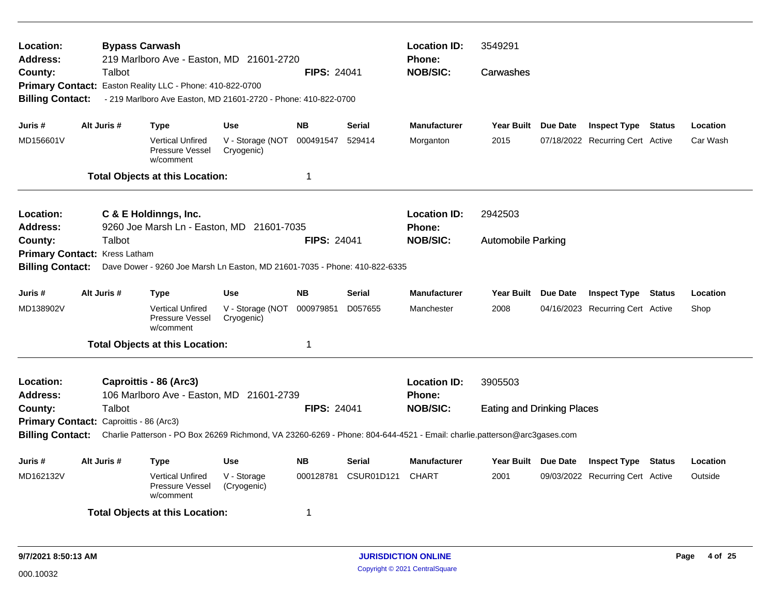| Location:<br>Address:<br>County:<br><b>Billing Contact:</b> | <b>Bypass Carwash</b><br>Talbot         | 219 Marlboro Ave - Easton, MD 21601-2720<br>Primary Contact: Easton Reality LLC - Phone: 410-822-0700<br>- 219 Marlboro Ave Easton, MD 21601-2720 - Phone: 410-822-0700 |                                | <b>FIPS: 24041</b> |                           | <b>Location ID:</b><br><b>Phone:</b><br><b>NOB/SIC:</b> | 3549291<br>Carwashes              |                 |                                  |               |          |
|-------------------------------------------------------------|-----------------------------------------|-------------------------------------------------------------------------------------------------------------------------------------------------------------------------|--------------------------------|--------------------|---------------------------|---------------------------------------------------------|-----------------------------------|-----------------|----------------------------------|---------------|----------|
| Juris #                                                     | Alt Juris #                             | Type                                                                                                                                                                    | <b>Use</b>                     | <b>NB</b>          | Serial                    | <b>Manufacturer</b>                                     | Year Built Due Date               |                 | <b>Inspect Type Status</b>       |               | Location |
| MD156601V                                                   |                                         | <b>Vertical Unfired</b><br>Pressure Vessel<br>w/comment                                                                                                                 | V - Storage (NOT<br>Cryogenic) | 000491547          | 529414                    | Morganton                                               | 2015                              |                 | 07/18/2022 Recurring Cert Active |               | Car Wash |
|                                                             |                                         | <b>Total Objects at this Location:</b>                                                                                                                                  |                                | $\mathbf 1$        |                           |                                                         |                                   |                 |                                  |               |          |
| Location:<br>Address:                                       |                                         | C & E Holdinngs, Inc.<br>9260 Joe Marsh Ln - Easton, MD 21601-7035                                                                                                      |                                |                    |                           | <b>Location ID:</b><br><b>Phone:</b>                    | 2942503                           |                 |                                  |               |          |
| County:                                                     | Talbot                                  |                                                                                                                                                                         | <b>FIPS: 24041</b>             | <b>NOB/SIC:</b>    | <b>Automobile Parking</b> |                                                         |                                   |                 |                                  |               |          |
|                                                             | Primary Contact: Kress Latham           |                                                                                                                                                                         |                                |                    |                           |                                                         |                                   |                 |                                  |               |          |
| <b>Billing Contact:</b>                                     |                                         | Dave Dower - 9260 Joe Marsh Ln Easton, MD 21601-7035 - Phone: 410-822-6335                                                                                              |                                |                    |                           |                                                         |                                   |                 |                                  |               |          |
| Juris #                                                     | Alt Juris #                             | Type                                                                                                                                                                    | <b>Use</b>                     | <b>NB</b>          | <b>Serial</b>             | <b>Manufacturer</b>                                     | <b>Year Built</b>                 | Due Date        | <b>Inspect Type Status</b>       |               | Location |
| MD138902V                                                   |                                         | <b>Vertical Unfired</b><br>Pressure Vessel<br>w/comment                                                                                                                 | V - Storage (NOT<br>Cryogenic) | 000979851          | D057655                   | Manchester                                              | 2008                              |                 | 04/16/2023 Recurring Cert Active |               | Shop     |
|                                                             |                                         | <b>Total Objects at this Location:</b>                                                                                                                                  |                                | $\mathbf 1$        |                           |                                                         |                                   |                 |                                  |               |          |
| Location:<br><b>Address:</b>                                |                                         | Caproittis - 86 (Arc3)<br>106 Marlboro Ave - Easton, MD 21601-2739                                                                                                      |                                |                    |                           | <b>Location ID:</b><br>Phone:                           | 3905503                           |                 |                                  |               |          |
| County:                                                     | Talbot                                  |                                                                                                                                                                         |                                | <b>FIPS: 24041</b> |                           | <b>NOB/SIC:</b>                                         | <b>Eating and Drinking Places</b> |                 |                                  |               |          |
|                                                             | Primary Contact: Caproittis - 86 (Arc3) |                                                                                                                                                                         |                                |                    |                           |                                                         |                                   |                 |                                  |               |          |
| <b>Billing Contact:</b>                                     |                                         | Charlie Patterson - PO Box 26269 Richmond, VA 23260-6269 - Phone: 804-644-4521 - Email: charlie.patterson@arc3gases.com                                                 |                                |                    |                           |                                                         |                                   |                 |                                  |               |          |
| Juris #                                                     | Alt Juris #                             | <b>Type</b>                                                                                                                                                             | <b>Use</b>                     | <b>NB</b>          | <b>Serial</b>             | <b>Manufacturer</b>                                     | <b>Year Built</b>                 | <b>Due Date</b> | <b>Inspect Type</b>              | <b>Status</b> | Location |
| MD162132V                                                   |                                         | <b>Vertical Unfired</b><br>Pressure Vessel<br>w/comment                                                                                                                 | V - Storage<br>(Cryogenic)     | 000128781          | CSUR01D121                | <b>CHART</b>                                            | 2001                              |                 | 09/03/2022 Recurring Cert Active |               | Outside  |
|                                                             |                                         | <b>Total Objects at this Location:</b>                                                                                                                                  |                                | -1                 |                           |                                                         |                                   |                 |                                  |               |          |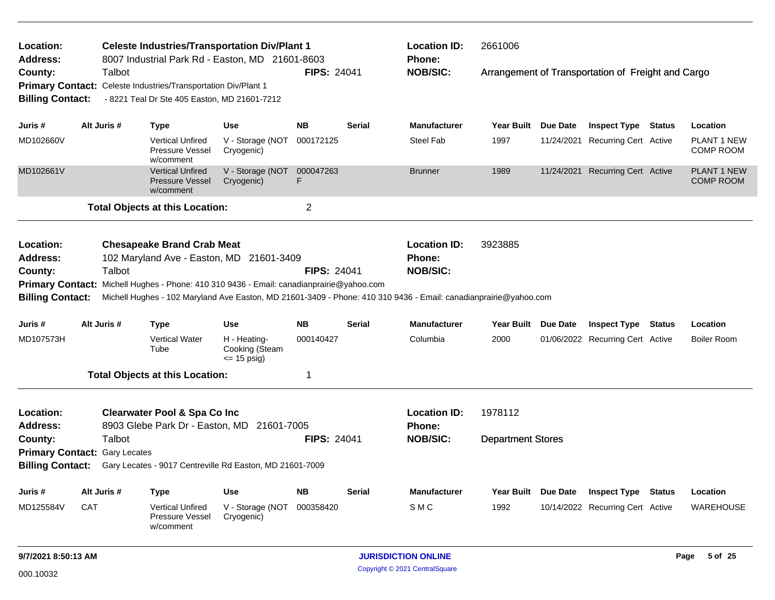| Location:<br><b>Address:</b> |                                      | <b>Celeste Industries/Transportation Div/Plant 1</b><br>8007 Industrial Park Rd - Easton, MD 21601-8603 |                                                  |                         |               | <b>Location ID:</b><br><b>Phone:</b>                                                                             | 2661006                  |                                                    |                                        |
|------------------------------|--------------------------------------|---------------------------------------------------------------------------------------------------------|--------------------------------------------------|-------------------------|---------------|------------------------------------------------------------------------------------------------------------------|--------------------------|----------------------------------------------------|----------------------------------------|
| County:                      | Talbot                               |                                                                                                         |                                                  | <b>FIPS: 24041</b>      |               | <b>NOB/SIC:</b>                                                                                                  |                          | Arrangement of Transportation of Freight and Cargo |                                        |
| <b>Primary Contact:</b>      |                                      | Celeste Industries/Transportation Div/Plant 1                                                           |                                                  |                         |               |                                                                                                                  |                          |                                                    |                                        |
| <b>Billing Contact:</b>      |                                      | - 8221 Teal Dr Ste 405 Easton, MD 21601-7212                                                            |                                                  |                         |               |                                                                                                                  |                          |                                                    |                                        |
|                              |                                      |                                                                                                         |                                                  |                         |               |                                                                                                                  |                          |                                                    |                                        |
| Juris #                      | Alt Juris #                          | <b>Type</b>                                                                                             | <b>Use</b>                                       | <b>NB</b>               | <b>Serial</b> | <b>Manufacturer</b>                                                                                              | Year Built Due Date      | <b>Inspect Type Status</b>                         | Location                               |
| MD102660V                    |                                      | <b>Vertical Unfired</b><br>Pressure Vessel<br>w/comment                                                 | V - Storage (NOT<br>Cryogenic)                   | 000172125               |               | <b>Steel Fab</b>                                                                                                 | 1997                     | 11/24/2021 Recurring Cert Active                   | PLANT 1 NEW<br><b>COMP ROOM</b>        |
| MD102661V                    |                                      | <b>Vertical Unfired</b><br><b>Pressure Vessel</b><br>w/comment                                          | V - Storage (NOT<br>Cryogenic)                   | 000047263<br>F          |               | <b>Brunner</b>                                                                                                   | 1989                     | 11/24/2021 Recurring Cert Active                   | <b>PLANT 1 NEW</b><br><b>COMP ROOM</b> |
|                              |                                      | <b>Total Objects at this Location:</b>                                                                  |                                                  | $\overline{\mathbf{c}}$ |               |                                                                                                                  |                          |                                                    |                                        |
| Location:<br><b>Address:</b> |                                      | <b>Chesapeake Brand Crab Meat</b><br>102 Maryland Ave - Easton, MD 21601-3409                           |                                                  |                         |               | <b>Location ID:</b><br>Phone:                                                                                    | 3923885                  |                                                    |                                        |
| County:                      | Talbot                               |                                                                                                         |                                                  | <b>FIPS: 24041</b>      |               | <b>NOB/SIC:</b>                                                                                                  |                          |                                                    |                                        |
|                              |                                      | Primary Contact: Michell Hughes - Phone: 410 310 9436 - Email: canadianprairie@yahoo.com                |                                                  |                         |               |                                                                                                                  |                          |                                                    |                                        |
| <b>Billing Contact:</b>      |                                      |                                                                                                         |                                                  |                         |               | Michell Hughes - 102 Maryland Ave Easton, MD 21601-3409 - Phone: 410 310 9436 - Email: canadianprairie@yahoo.com |                          |                                                    |                                        |
| Juris #                      | Alt Juris #                          | <b>Type</b>                                                                                             | <b>Use</b>                                       | <b>NB</b>               | Serial        | <b>Manufacturer</b>                                                                                              | Year Built Due Date      | <b>Inspect Type Status</b>                         | Location                               |
| MD107573H                    |                                      | <b>Vertical Water</b><br>Tube                                                                           | H - Heating-<br>Cooking (Steam<br>$\le$ 15 psig) | 000140427               |               | Columbia                                                                                                         | 2000                     | 01/06/2022 Recurring Cert Active                   | <b>Boiler Room</b>                     |
|                              |                                      | <b>Total Objects at this Location:</b>                                                                  |                                                  | 1                       |               |                                                                                                                  |                          |                                                    |                                        |
| Location:                    |                                      | <b>Clearwater Pool &amp; Spa Co Inc</b>                                                                 |                                                  |                         |               | <b>Location ID:</b>                                                                                              | 1978112                  |                                                    |                                        |
| <b>Address:</b>              |                                      | 8903 Glebe Park Dr - Easton, MD 21601-7005                                                              |                                                  |                         |               | <b>Phone:</b>                                                                                                    |                          |                                                    |                                        |
| County:                      | Talbot                               |                                                                                                         |                                                  | <b>FIPS: 24041</b>      |               | <b>NOB/SIC:</b>                                                                                                  | <b>Department Stores</b> |                                                    |                                        |
|                              | <b>Primary Contact: Gary Lecates</b> |                                                                                                         |                                                  |                         |               |                                                                                                                  |                          |                                                    |                                        |
| <b>Billing Contact:</b>      |                                      | Gary Lecates - 9017 Centreville Rd Easton, MD 21601-7009                                                |                                                  |                         |               |                                                                                                                  |                          |                                                    |                                        |
| Juris #                      | Alt Juris #                          | <b>Type</b>                                                                                             | <b>Use</b>                                       | ΝB                      | Serial        | <b>Manufacturer</b>                                                                                              | Year Built Due Date      | <b>Inspect Type Status</b>                         | Location                               |
| MD125584V                    | CAT                                  | <b>Vertical Unfired</b><br>Pressure Vessel<br>w/comment                                                 | V - Storage (NOT<br>Cryogenic)                   | 000358420               |               | SMC                                                                                                              | 1992                     | 10/14/2022 Recurring Cert Active                   | <b>WAREHOUSE</b>                       |
|                              |                                      |                                                                                                         |                                                  |                         |               |                                                                                                                  |                          |                                                    |                                        |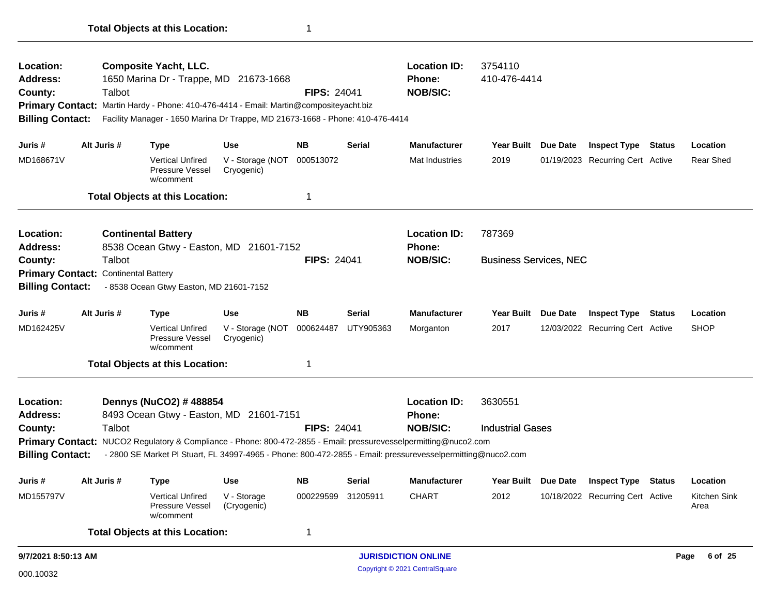| Location:<br><b>Address:</b><br>County:<br><b>Primary Contact:</b><br><b>Billing Contact:</b> | Talbot                                                | <b>Composite Yacht, LLC.</b><br>1650 Marina Dr - Trappe, MD 21673-1668<br>Martin Hardy - Phone: 410-476-4414 - Email: Martin@compositeyacht.biz<br>Facility Manager - 1650 Marina Dr Trappe, MD 21673-1668 - Phone: 410-476-4414 |                                | <b>FIPS: 24041</b> |               | <b>Location ID:</b><br><b>Phone:</b><br><b>NOB/SIC:</b> | 3754110<br>410-476-4414       |                 |                                  |        |                      |
|-----------------------------------------------------------------------------------------------|-------------------------------------------------------|----------------------------------------------------------------------------------------------------------------------------------------------------------------------------------------------------------------------------------|--------------------------------|--------------------|---------------|---------------------------------------------------------|-------------------------------|-----------------|----------------------------------|--------|----------------------|
| Juris #                                                                                       | Alt Juris #                                           | <b>Type</b>                                                                                                                                                                                                                      | <b>Use</b>                     | <b>NB</b>          | <b>Serial</b> | <b>Manufacturer</b>                                     | Year Built Due Date           |                 | <b>Inspect Type Status</b>       |        | Location             |
| MD168671V                                                                                     |                                                       | <b>Vertical Unfired</b><br>Pressure Vessel<br>w/comment                                                                                                                                                                          | V - Storage (NOT<br>Cryogenic) | 000513072          |               | Mat Industries                                          | 2019                          |                 | 01/19/2023 Recurring Cert Active |        | <b>Rear Shed</b>     |
|                                                                                               |                                                       | <b>Total Objects at this Location:</b>                                                                                                                                                                                           |                                | 1                  |               |                                                         |                               |                 |                                  |        |                      |
| Location:<br><b>Address:</b>                                                                  |                                                       | <b>Continental Battery</b><br>8538 Ocean Gtwy - Easton, MD 21601-7152                                                                                                                                                            |                                |                    |               | <b>Location ID:</b><br><b>Phone:</b>                    | 787369                        |                 |                                  |        |                      |
| County:<br><b>Billing Contact:</b>                                                            | Talbot<br><b>Primary Contact: Continental Battery</b> | - 8538 Ocean Gtwy Easton, MD 21601-7152                                                                                                                                                                                          |                                | <b>FIPS: 24041</b> |               | <b>NOB/SIC:</b>                                         | <b>Business Services, NEC</b> |                 |                                  |        |                      |
| Juris #                                                                                       | Alt Juris #                                           | <b>Type</b>                                                                                                                                                                                                                      | <b>Use</b>                     | <b>NB</b>          | <b>Serial</b> | <b>Manufacturer</b>                                     | Year Built Due Date           |                 | <b>Inspect Type Status</b>       |        | Location             |
| MD162425V                                                                                     |                                                       | <b>Vertical Unfired</b><br>Pressure Vessel<br>w/comment                                                                                                                                                                          | V - Storage (NOT<br>Cryogenic) | 000624487          | UTY905363     | Morganton                                               | 2017                          |                 | 12/03/2022 Recurring Cert Active |        | <b>SHOP</b>          |
|                                                                                               |                                                       | <b>Total Objects at this Location:</b>                                                                                                                                                                                           |                                | -1                 |               |                                                         |                               |                 |                                  |        |                      |
| Location:<br><b>Address:</b>                                                                  |                                                       | Dennys (NuCO2) # 488854<br>8493 Ocean Gtwy - Easton, MD 21601-7151                                                                                                                                                               |                                |                    |               | <b>Location ID:</b><br><b>Phone:</b>                    | 3630551                       |                 |                                  |        |                      |
| County:                                                                                       | Talbot                                                |                                                                                                                                                                                                                                  |                                | <b>FIPS: 24041</b> |               | <b>NOB/SIC:</b>                                         | <b>Industrial Gases</b>       |                 |                                  |        |                      |
| <b>Billing Contact:</b>                                                                       |                                                       | Primary Contact: NUCO2 Regulatory & Compliance - Phone: 800-472-2855 - Email: pressurevesselpermitting@nuco2.com<br>- 2800 SE Market PI Stuart, FL 34997-4965 - Phone: 800-472-2855 - Email: pressurevesselpermitting@nuco2.com  |                                |                    |               |                                                         |                               |                 |                                  |        |                      |
| Juris #                                                                                       | Alt Juris #                                           | <b>Type</b>                                                                                                                                                                                                                      | <b>Use</b>                     | NB                 | <b>Serial</b> | <b>Manufacturer</b>                                     | <b>Year Built</b>             | <b>Due Date</b> | <b>Inspect Type</b>              | Status | Location             |
| MD155797V                                                                                     |                                                       | Vertical Unfired<br>Pressure Vessel<br>w/comment                                                                                                                                                                                 | V - Storage<br>(Cryogenic)     | 000229599 31205911 |               | <b>CHART</b>                                            | 2012                          |                 | 10/18/2022 Recurring Cert Active |        | Kitchen Sink<br>Area |
|                                                                                               |                                                       | <b>Total Objects at this Location:</b>                                                                                                                                                                                           |                                | $\mathbf 1$        |               |                                                         |                               |                 |                                  |        |                      |
| 9/7/2021 8:50:13 AM                                                                           |                                                       |                                                                                                                                                                                                                                  |                                |                    |               | <b>JURISDICTION ONLINE</b>                              |                               |                 |                                  |        | Page 6 of 25         |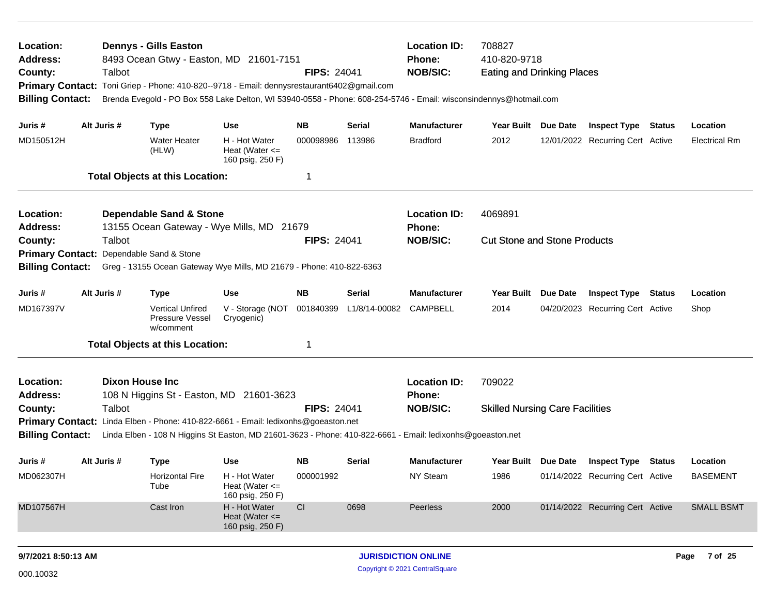| Location:<br><b>Address:</b><br>County:<br><b>Primary Contact:</b><br><b>Billing Contact:</b> | Talbot                 | <b>Dennys - Gills Easton</b>                            | 8493 Ocean Gtwy - Easton, MD 21601-7151<br>Toni Griep - Phone: 410-820--9718 - Email: dennysrestaurant6402@gmail.com<br>Brenda Evegold - PO Box 558 Lake Delton, WI 53940-0558 - Phone: 608-254-5746 - Email: wisconsindennys@hotmail.com | <b>FIPS: 24041</b> |               | <b>Location ID:</b><br><b>Phone:</b><br><b>NOB/SIC:</b> | 708827<br>410-820-9718<br><b>Eating and Drinking Places</b> |          |                                         |        |                      |
|-----------------------------------------------------------------------------------------------|------------------------|---------------------------------------------------------|-------------------------------------------------------------------------------------------------------------------------------------------------------------------------------------------------------------------------------------------|--------------------|---------------|---------------------------------------------------------|-------------------------------------------------------------|----------|-----------------------------------------|--------|----------------------|
| Juris #                                                                                       | Alt Juris #            | <b>Type</b>                                             | <b>Use</b>                                                                                                                                                                                                                                | NB.                | <b>Serial</b> | <b>Manufacturer</b>                                     | Year Built Due Date                                         |          | <b>Inspect Type Status</b>              |        | Location             |
| MD150512H                                                                                     |                        | <b>Water Heater</b><br>(HLW)                            | H - Hot Water<br>Heat (Water $\leq$<br>160 psig, 250 F)                                                                                                                                                                                   | 000098986          | 113986        | <b>Bradford</b>                                         | 2012                                                        |          | 12/01/2022 Recurring Cert Active        |        | <b>Electrical Rm</b> |
|                                                                                               |                        | <b>Total Objects at this Location:</b>                  |                                                                                                                                                                                                                                           | -1                 |               |                                                         |                                                             |          |                                         |        |                      |
| Location:<br><b>Address:</b>                                                                  |                        | <b>Dependable Sand &amp; Stone</b>                      | 13155 Ocean Gateway - Wye Mills, MD 21679                                                                                                                                                                                                 |                    |               | <b>Location ID:</b><br><b>Phone:</b>                    | 4069891                                                     |          |                                         |        |                      |
| County:                                                                                       | Talbot                 |                                                         |                                                                                                                                                                                                                                           | <b>FIPS: 24041</b> |               | <b>NOB/SIC:</b>                                         | <b>Cut Stone and Stone Products</b>                         |          |                                         |        |                      |
| <b>Primary Contact:</b><br><b>Billing Contact:</b>                                            |                        | Dependable Sand & Stone                                 | Greg - 13155 Ocean Gateway Wye Mills, MD 21679 - Phone: 410-822-6363                                                                                                                                                                      |                    |               |                                                         |                                                             |          |                                         |        |                      |
|                                                                                               |                        |                                                         |                                                                                                                                                                                                                                           |                    |               |                                                         |                                                             |          |                                         |        |                      |
| Juris #                                                                                       | Alt Juris #            | <b>Type</b>                                             | <b>Use</b>                                                                                                                                                                                                                                | <b>NB</b>          | <b>Serial</b> | <b>Manufacturer</b>                                     | <b>Year Built</b>                                           | Due Date | <b>Inspect Type</b>                     | Status | Location             |
| MD167397V                                                                                     |                        | <b>Vertical Unfired</b><br>Pressure Vessel<br>w/comment | V - Storage (NOT<br>Cryogenic)                                                                                                                                                                                                            | 001840399          | L1/8/14-00082 | <b>CAMPBELL</b>                                         | 2014                                                        |          | 04/20/2023 Recurring Cert Active        |        | Shop                 |
|                                                                                               |                        | <b>Total Objects at this Location:</b>                  |                                                                                                                                                                                                                                           | -1                 |               |                                                         |                                                             |          |                                         |        |                      |
| Location:<br><b>Address:</b>                                                                  | <b>Dixon House Inc</b> |                                                         | 108 N Higgins St - Easton, MD 21601-3623                                                                                                                                                                                                  |                    |               | <b>Location ID:</b><br><b>Phone:</b>                    | 709022                                                      |          |                                         |        |                      |
| County:                                                                                       | Talbot                 |                                                         |                                                                                                                                                                                                                                           | <b>FIPS: 24041</b> |               | <b>NOB/SIC:</b>                                         | <b>Skilled Nursing Care Facilities</b>                      |          |                                         |        |                      |
|                                                                                               |                        |                                                         | Primary Contact: Linda Elben - Phone: 410-822-6661 - Email: ledixonhs@goeaston.net                                                                                                                                                        |                    |               |                                                         |                                                             |          |                                         |        |                      |
| <b>Billing Contact:</b>                                                                       |                        |                                                         | Linda Elben - 108 N Higgins St Easton, MD 21601-3623 - Phone: 410-822-6661 - Email: ledixonhs@goeaston.net                                                                                                                                |                    |               |                                                         |                                                             |          |                                         |        |                      |
| Juris #                                                                                       | Alt Juris #            | <b>Type</b>                                             | <b>Use</b>                                                                                                                                                                                                                                | NB.                | Serial        | <b>Manufacturer</b>                                     |                                                             |          | Year Built Due Date Inspect Type Status |        | Location             |
| MD062307H                                                                                     |                        | <b>Horizontal Fire</b><br>Tube                          | H - Hot Water<br>Heat (Water $\leq$<br>160 psig, 250 F)                                                                                                                                                                                   | 000001992          |               | NY Steam                                                | 1986                                                        |          | 01/14/2022 Recurring Cert Active        |        | <b>BASEMENT</b>      |
| MD107567H                                                                                     |                        | Cast Iron                                               | H - Hot Water<br>Heat (Water $\leq$<br>160 psig, 250 F)                                                                                                                                                                                   | CI                 | 0698          | Peerless                                                | 2000                                                        |          | 01/14/2022 Recurring Cert Active        |        | <b>SMALL BSMT</b>    |
| 9/7/2021 8:50:13 AM                                                                           |                        |                                                         |                                                                                                                                                                                                                                           |                    |               | <b>JURISDICTION ONLINE</b>                              |                                                             |          |                                         |        | Page<br>7 of 25      |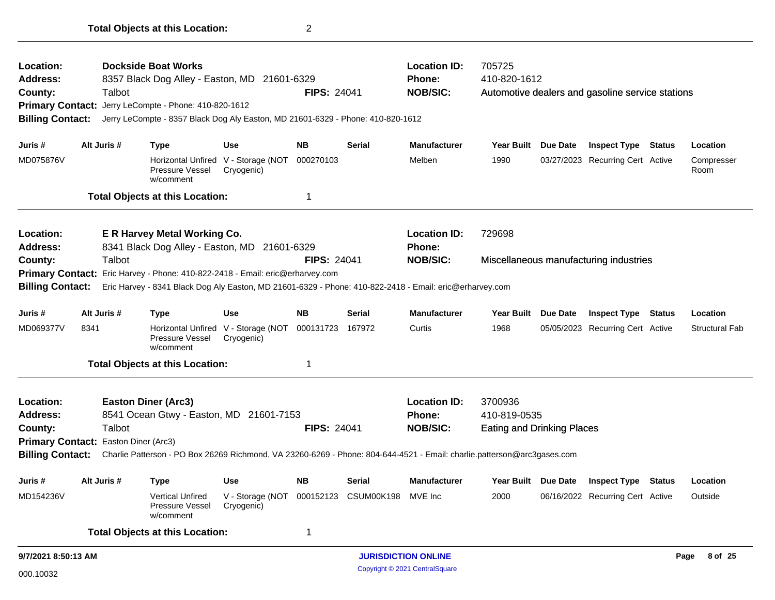| Location:                            |             |        | <b>Dockside Boat Works</b>                                                                                              |                                |                    |                            | <b>Location ID:</b> | 705725                            |                 |                                                  |               |                       |
|--------------------------------------|-------------|--------|-------------------------------------------------------------------------------------------------------------------------|--------------------------------|--------------------|----------------------------|---------------------|-----------------------------------|-----------------|--------------------------------------------------|---------------|-----------------------|
| <b>Address:</b>                      |             |        | 8357 Black Dog Alley - Easton, MD 21601-6329                                                                            |                                |                    |                            | <b>Phone:</b>       | 410-820-1612                      |                 |                                                  |               |                       |
| County:                              |             | Talbot |                                                                                                                         |                                | <b>FIPS: 24041</b> |                            | <b>NOB/SIC:</b>     |                                   |                 | Automotive dealers and gasoline service stations |               |                       |
|                                      |             |        | Primary Contact: Jerry LeCompte - Phone: 410-820-1612                                                                   |                                |                    |                            |                     |                                   |                 |                                                  |               |                       |
| <b>Billing Contact:</b>              |             |        | Jerry LeCompte - 8357 Black Dog Aly Easton, MD 21601-6329 - Phone: 410-820-1612                                         |                                |                    |                            |                     |                                   |                 |                                                  |               |                       |
| Juris #                              | Alt Juris # |        | <b>Type</b>                                                                                                             | <b>Use</b>                     | NB.                | Serial                     | <b>Manufacturer</b> | <b>Year Built</b>                 | <b>Due Date</b> | <b>Inspect Type</b>                              | <b>Status</b> | Location              |
| MD075876V                            |             |        | Horizontal Unfired V - Storage (NOT<br>Pressure Vessel<br>w/comment                                                     | Cryogenic)                     | 000270103          |                            | Melben              | 1990                              |                 | 03/27/2023 Recurring Cert Active                 |               | Compresser<br>Room    |
|                                      |             |        | <b>Total Objects at this Location:</b>                                                                                  |                                | 1                  |                            |                     |                                   |                 |                                                  |               |                       |
| Location:                            |             |        | <b>E R Harvey Metal Working Co.</b>                                                                                     |                                |                    |                            | <b>Location ID:</b> | 729698                            |                 |                                                  |               |                       |
| <b>Address:</b>                      |             |        | 8341 Black Dog Alley - Easton, MD 21601-6329                                                                            |                                |                    |                            | <b>Phone:</b>       |                                   |                 |                                                  |               |                       |
| County:                              |             | Talbot |                                                                                                                         |                                | <b>FIPS: 24041</b> |                            | <b>NOB/SIC:</b>     |                                   |                 | Miscellaneous manufacturing industries           |               |                       |
|                                      |             |        | Primary Contact: Eric Harvey - Phone: 410-822-2418 - Email: eric@erharvey.com                                           |                                |                    |                            |                     |                                   |                 |                                                  |               |                       |
| <b>Billing Contact:</b>              |             |        | Eric Harvey - 8341 Black Dog Aly Easton, MD 21601-6329 - Phone: 410-822-2418 - Email: eric@erharvey.com                 |                                |                    |                            |                     |                                   |                 |                                                  |               |                       |
| Juris #                              | Alt Juris # |        | <b>Type</b>                                                                                                             | <b>Use</b>                     | <b>NB</b>          | Serial                     | <b>Manufacturer</b> | Year Built Due Date               |                 | <b>Inspect Type</b>                              | Status        | Location              |
| MD069377V                            | 8341        |        | <b>Horizontal Unfired</b><br><b>Pressure Vessel</b><br>w/comment                                                        | V - Storage (NOT<br>Cryogenic) | 000131723 167972   |                            | Curtis              | 1968                              |                 | 05/05/2023 Recurring Cert Active                 |               | <b>Structural Fab</b> |
|                                      |             |        | <b>Total Objects at this Location:</b>                                                                                  |                                | 1                  |                            |                     |                                   |                 |                                                  |               |                       |
| Location:                            |             |        | <b>Easton Diner (Arc3)</b>                                                                                              |                                |                    |                            | <b>Location ID:</b> | 3700936                           |                 |                                                  |               |                       |
| <b>Address:</b>                      |             |        | 8541 Ocean Gtwy - Easton, MD 21601-7153                                                                                 |                                |                    |                            | <b>Phone:</b>       | 410-819-0535                      |                 |                                                  |               |                       |
| County:                              |             | Talbot |                                                                                                                         |                                | <b>FIPS: 24041</b> |                            | <b>NOB/SIC:</b>     | <b>Eating and Drinking Places</b> |                 |                                                  |               |                       |
| Primary Contact: Easton Diner (Arc3) |             |        |                                                                                                                         |                                |                    |                            |                     |                                   |                 |                                                  |               |                       |
| <b>Billing Contact:</b>              |             |        | Charlie Patterson - PO Box 26269 Richmond, VA 23260-6269 - Phone: 804-644-4521 - Email: charlie.patterson@arc3gases.com |                                |                    |                            |                     |                                   |                 |                                                  |               |                       |
| Juris #                              | Alt Juris # |        | <b>Type</b>                                                                                                             | Use                            | NB                 | <b>Serial</b>              | <b>Manufacturer</b> |                                   |                 | Year Built Due Date Inspect Type Status          |               | Location              |
| MD154236V                            |             |        | <b>Vertical Unfired</b><br><b>Pressure Vessel</b><br>w/comment                                                          | V - Storage (NOT<br>Cryogenic) | 000152123          | CSUM00K198                 | MVE Inc             | 2000                              |                 | 06/16/2022 Recurring Cert Active                 |               | Outside               |
|                                      |             |        | <b>Total Objects at this Location:</b>                                                                                  |                                | 1                  |                            |                     |                                   |                 |                                                  |               |                       |
| 9/7/2021 8:50:13 AM                  |             |        |                                                                                                                         |                                |                    | <b>JURISDICTION ONLINE</b> |                     |                                   |                 |                                                  |               | 8 of 25<br>Page       |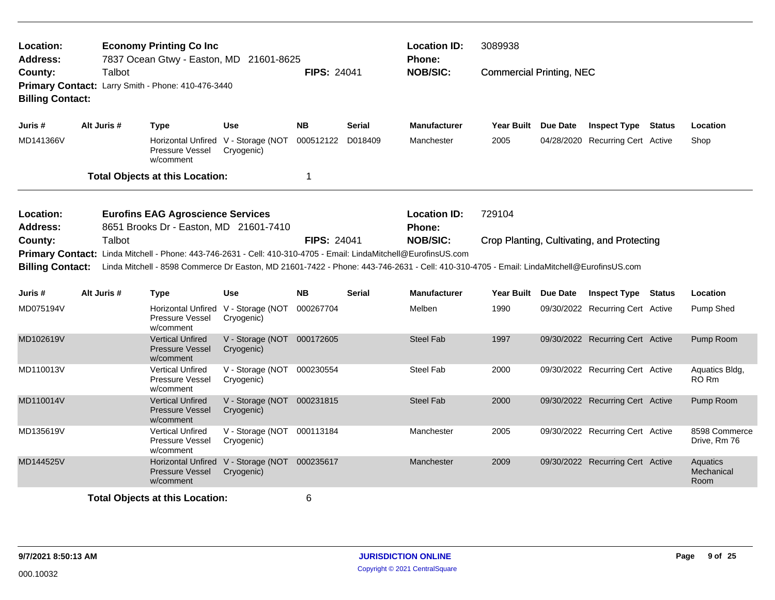| Location:<br><b>Address:</b>                                                                                                                                                                                                                                                                                                                           |             | <b>Economy Printing Co Inc</b><br>7837 Ocean Gtwy - Easton, MD 21601-8625 |                                                             |                    |               | <b>Location ID:</b><br>Phone: | 3089938                         |                     |                                            |                                |
|--------------------------------------------------------------------------------------------------------------------------------------------------------------------------------------------------------------------------------------------------------------------------------------------------------------------------------------------------------|-------------|---------------------------------------------------------------------------|-------------------------------------------------------------|--------------------|---------------|-------------------------------|---------------------------------|---------------------|--------------------------------------------|--------------------------------|
| County:<br><b>Billing Contact:</b>                                                                                                                                                                                                                                                                                                                     | Talbot      | Primary Contact: Larry Smith - Phone: 410-476-3440                        |                                                             | <b>FIPS: 24041</b> |               | <b>NOB/SIC:</b>               | <b>Commercial Printing, NEC</b> |                     |                                            |                                |
| Juris#                                                                                                                                                                                                                                                                                                                                                 | Alt Juris # | <b>Type</b>                                                               | <b>Use</b>                                                  | <b>NB</b>          | Serial        | <b>Manufacturer</b>           |                                 | Year Built Due Date | <b>Inspect Type Status</b>                 | Location                       |
| MD141366V                                                                                                                                                                                                                                                                                                                                              |             | Pressure Vessel<br>w/comment                                              | Horizontal Unfired V - Storage (NOT<br>Cryogenic)           | 000512122 D018409  |               | Manchester                    | 2005                            |                     | 04/28/2020 Recurring Cert Active           | Shop                           |
|                                                                                                                                                                                                                                                                                                                                                        |             | <b>Total Objects at this Location:</b>                                    |                                                             | 1                  |               |                               |                                 |                     |                                            |                                |
| Location:<br><b>Address:</b>                                                                                                                                                                                                                                                                                                                           |             | <b>Eurofins EAG Agroscience Services</b>                                  |                                                             |                    |               | <b>Location ID:</b><br>Phone: | 729104                          |                     |                                            |                                |
| 8651 Brooks Dr - Easton, MD 21601-7410<br>Talbot<br>County:<br>Primary Contact: Linda Mitchell - Phone: 443-746-2631 - Cell: 410-310-4705 - Email: LindaMitchell@EurofinsUS.com<br><b>Billing Contact:</b><br>Linda Mitchell - 8598 Commerce Dr Easton, MD 21601-7422 - Phone: 443-746-2631 - Cell: 410-310-4705 - Email: LindaMitchell@EurofinsUS.com |             |                                                                           |                                                             | <b>FIPS: 24041</b> |               | <b>NOB/SIC:</b>               |                                 |                     | Crop Planting, Cultivating, and Protecting |                                |
| Juris #                                                                                                                                                                                                                                                                                                                                                | Alt Juris # | <b>Type</b>                                                               | <b>Use</b>                                                  | <b>NB</b>          | <b>Serial</b> | <b>Manufacturer</b>           |                                 | Year Built Due Date | <b>Inspect Type Status</b>                 | Location                       |
| MD075194V                                                                                                                                                                                                                                                                                                                                              |             | <b>Pressure Vessel</b><br>w/comment                                       | Horizontal Unfired V - Storage (NOT<br>Cryogenic)           | 000267704          |               | Melben                        | 1990                            |                     | 09/30/2022 Recurring Cert Active           | Pump Shed                      |
| MD102619V                                                                                                                                                                                                                                                                                                                                              |             | <b>Vertical Unfired</b><br><b>Pressure Vessel</b><br>w/comment            | V - Storage (NOT 000172605<br>Cryogenic)                    |                    |               | <b>Steel Fab</b>              | 1997                            |                     | 09/30/2022 Recurring Cert Active           | Pump Room                      |
| MD110013V                                                                                                                                                                                                                                                                                                                                              |             | <b>Vertical Unfired</b><br>Pressure Vessel<br>w/comment                   | V - Storage (NOT 000230554<br>Cryogenic)                    |                    |               | <b>Steel Fab</b>              | 2000                            |                     | 09/30/2022 Recurring Cert Active           | Aquatics Bldg,<br>RO Rm        |
| MD110014V                                                                                                                                                                                                                                                                                                                                              |             | <b>Vertical Unfired</b><br><b>Pressure Vessel</b><br>w/comment            | V - Storage (NOT 000231815<br>Cryogenic)                    |                    |               | <b>Steel Fab</b>              | 2000                            |                     | 09/30/2022 Recurring Cert Active           | Pump Room                      |
| MD135619V                                                                                                                                                                                                                                                                                                                                              |             | <b>Vertical Unfired</b><br>Pressure Vessel<br>w/comment                   | V - Storage (NOT 000113184<br>Cryogenic)                    |                    |               | Manchester                    | 2005                            |                     | 09/30/2022 Recurring Cert Active           | 8598 Commerce<br>Drive, Rm 76  |
| MD144525V                                                                                                                                                                                                                                                                                                                                              |             | <b>Pressure Vessel</b><br>w/comment                                       | Horizontal Unfired V - Storage (NOT 000235617<br>Cryogenic) |                    |               | Manchester                    | 2009                            |                     | 09/30/2022 Recurring Cert Active           | Aquatics<br>Mechanical<br>Room |
|                                                                                                                                                                                                                                                                                                                                                        |             | <b>Total Objects at this Location:</b>                                    |                                                             | 6                  |               |                               |                                 |                     |                                            |                                |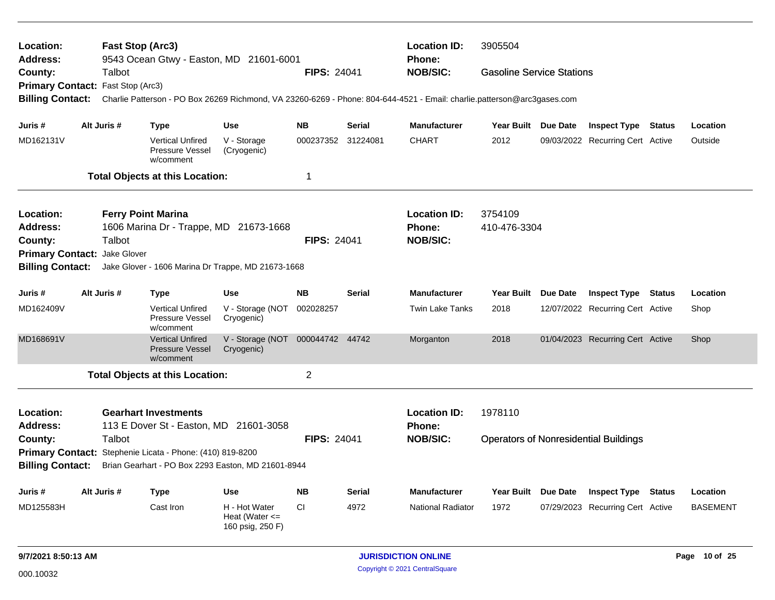| Location:<br>Address:        | Fast Stop (Arc3)          |                                                                       | 9543 Ocean Gtwy - Easton, MD 21601-6001                 |                    |               | <b>Location ID:</b><br><b>Phone:</b>                                                                                    | 3905504                          |          |                                              |        |                 |
|------------------------------|---------------------------|-----------------------------------------------------------------------|---------------------------------------------------------|--------------------|---------------|-------------------------------------------------------------------------------------------------------------------------|----------------------------------|----------|----------------------------------------------|--------|-----------------|
| County:                      | Talbot                    |                                                                       |                                                         | <b>FIPS: 24041</b> |               | <b>NOB/SIC:</b>                                                                                                         | <b>Gasoline Service Stations</b> |          |                                              |        |                 |
| <b>Primary Contact:</b>      | Fast Stop (Arc3)          |                                                                       |                                                         |                    |               |                                                                                                                         |                                  |          |                                              |        |                 |
| <b>Billing Contact:</b>      |                           |                                                                       |                                                         |                    |               | Charlie Patterson - PO Box 26269 Richmond, VA 23260-6269 - Phone: 804-644-4521 - Email: charlie.patterson@arc3gases.com |                                  |          |                                              |        |                 |
| Juris #                      | Alt Juris #               | <b>Type</b>                                                           | <b>Use</b>                                              | <b>NB</b>          | <b>Serial</b> | <b>Manufacturer</b>                                                                                                     | Year Built Due Date              |          | <b>Inspect Type Status</b>                   |        | Location        |
| MD162131V                    |                           | <b>Vertical Unfired</b><br>Pressure Vessel<br>w/comment               | V - Storage<br>(Cryogenic)                              | 000237352 31224081 |               | <b>CHART</b>                                                                                                            | 2012                             |          | 09/03/2022 Recurring Cert Active             |        | Outside         |
|                              |                           | <b>Total Objects at this Location:</b>                                |                                                         | $\mathbf 1$        |               |                                                                                                                         |                                  |          |                                              |        |                 |
| <b>Location:</b>             | <b>Ferry Point Marina</b> |                                                                       |                                                         |                    |               | <b>Location ID:</b>                                                                                                     | 3754109                          |          |                                              |        |                 |
| <b>Address:</b>              |                           | 1606 Marina Dr - Trappe, MD 21673-1668                                |                                                         |                    |               | <b>Phone:</b>                                                                                                           | 410-476-3304                     |          |                                              |        |                 |
| County:                      | Talbot                    |                                                                       |                                                         | <b>FIPS: 24041</b> |               | <b>NOB/SIC:</b>                                                                                                         |                                  |          |                                              |        |                 |
| Primary Contact: Jake Glover |                           |                                                                       |                                                         |                    |               |                                                                                                                         |                                  |          |                                              |        |                 |
| <b>Billing Contact:</b>      |                           |                                                                       | Jake Glover - 1606 Marina Dr Trappe, MD 21673-1668      |                    |               |                                                                                                                         |                                  |          |                                              |        |                 |
| Juris #                      | Alt Juris #               | <b>Type</b>                                                           | <b>Use</b>                                              | <b>NB</b>          | <b>Serial</b> | <b>Manufacturer</b>                                                                                                     | Year Built                       | Due Date | <b>Inspect Type</b>                          | Status | Location        |
| MD162409V                    |                           | <b>Vertical Unfired</b><br>Pressure Vessel<br>w/comment               | V - Storage (NOT<br>Cryogenic)                          | 002028257          |               | <b>Twin Lake Tanks</b>                                                                                                  | 2018                             |          | 12/07/2022 Recurring Cert Active             |        | Shop            |
| MD168691V                    |                           | <b>Vertical Unfired</b><br><b>Pressure Vessel</b><br>w/comment        | V - Storage (NOT<br>Cryogenic)                          | 000044742 44742    |               | Morganton                                                                                                               | 2018                             |          | 01/04/2023 Recurring Cert Active             |        | Shop            |
|                              |                           | <b>Total Objects at this Location:</b>                                |                                                         | 2                  |               |                                                                                                                         |                                  |          |                                              |        |                 |
| Location:<br>Address:        |                           | <b>Gearhart Investments</b><br>113 E Dover St - Easton, MD 21601-3058 |                                                         |                    |               | <b>Location ID:</b><br><b>Phone:</b>                                                                                    | 1978110                          |          |                                              |        |                 |
| County:                      | Talbot                    |                                                                       |                                                         | <b>FIPS: 24041</b> |               | <b>NOB/SIC:</b>                                                                                                         |                                  |          | <b>Operators of Nonresidential Buildings</b> |        |                 |
|                              |                           | Primary Contact: Stephenie Licata - Phone: (410) 819-8200             |                                                         |                    |               |                                                                                                                         |                                  |          |                                              |        |                 |
| <b>Billing Contact:</b>      |                           |                                                                       | Brian Gearhart - PO Box 2293 Easton, MD 21601-8944      |                    |               |                                                                                                                         |                                  |          |                                              |        |                 |
| Juris #                      | Alt Juris #               | <b>Type</b>                                                           | <b>Use</b>                                              | <b>NB</b>          | <b>Serial</b> | <b>Manufacturer</b>                                                                                                     | Year Built Due Date              |          | <b>Inspect Type</b>                          | Status | Location        |
| MD125583H                    |                           | Cast Iron                                                             | H - Hot Water<br>Heat (Water $\leq$<br>160 psig, 250 F) | <b>CI</b>          | 4972          | <b>National Radiator</b>                                                                                                | 1972                             |          | 07/29/2023 Recurring Cert Active             |        | <b>BASEMENT</b> |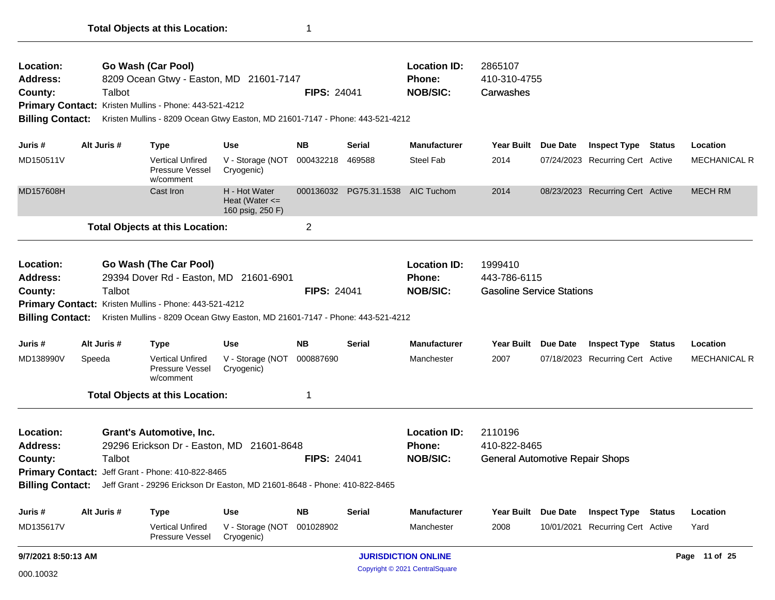| Location:                               |             |             | Go Wash (Car Pool)                                                                                                                      |                                                         |                    |                        | <b>Location ID:</b>                                     | 2865107                                                     |            |                                  |               |                     |
|-----------------------------------------|-------------|-------------|-----------------------------------------------------------------------------------------------------------------------------------------|---------------------------------------------------------|--------------------|------------------------|---------------------------------------------------------|-------------------------------------------------------------|------------|----------------------------------|---------------|---------------------|
| <b>Address:</b>                         |             |             | 8209 Ocean Gtwy - Easton, MD 21601-7147                                                                                                 |                                                         |                    |                        | <b>Phone:</b>                                           | 410-310-4755                                                |            |                                  |               |                     |
| County:                                 |             | Talbot      |                                                                                                                                         |                                                         | <b>FIPS: 24041</b> |                        | <b>NOB/SIC:</b>                                         | Carwashes                                                   |            |                                  |               |                     |
|                                         |             |             | Primary Contact: Kristen Mullins - Phone: 443-521-4212                                                                                  |                                                         |                    |                        |                                                         |                                                             |            |                                  |               |                     |
| <b>Billing Contact:</b>                 |             |             | Kristen Mullins - 8209 Ocean Gtwy Easton, MD 21601-7147 - Phone: 443-521-4212                                                           |                                                         |                    |                        |                                                         |                                                             |            |                                  |               |                     |
| Juris #                                 |             | Alt Juris # | <b>Type</b>                                                                                                                             | <b>Use</b>                                              | NB.                | Serial                 | <b>Manufacturer</b>                                     | <b>Year Built</b>                                           | Due Date   | <b>Inspect Type</b>              | <b>Status</b> | Location            |
| MD150511V                               |             |             | <b>Vertical Unfired</b><br>Pressure Vessel<br>w/comment                                                                                 | V - Storage (NOT<br>Cryogenic)                          | 000432218          | 469588                 | <b>Steel Fab</b>                                        | 2014                                                        |            | 07/24/2023 Recurring Cert Active |               | <b>MECHANICAL R</b> |
| MD157608H                               |             |             | Cast Iron                                                                                                                               | H - Hot Water<br>Heat (Water $\leq$<br>160 psig, 250 F) |                    | 000136032 PG75.31.1538 | AIC Tuchom                                              | 2014                                                        |            | 08/23/2023 Recurring Cert Active |               | <b>MECH RM</b>      |
|                                         |             |             | <b>Total Objects at this Location:</b>                                                                                                  |                                                         | $\overline{c}$     |                        |                                                         |                                                             |            |                                  |               |                     |
| Location:<br><b>Address:</b><br>County: |             | Talbot      | Go Wash (The Car Pool)<br>29394 Dover Rd - Easton, MD 21601-6901                                                                        |                                                         | <b>FIPS: 24041</b> |                        | <b>Location ID:</b><br><b>Phone:</b><br><b>NOB/SIC:</b> | 1999410<br>443-786-6115<br><b>Gasoline Service Stations</b> |            |                                  |               |                     |
|                                         |             |             |                                                                                                                                         |                                                         |                    |                        |                                                         |                                                             |            |                                  |               |                     |
| <b>Billing Contact:</b>                 |             |             | Primary Contact: Kristen Mullins - Phone: 443-521-4212<br>Kristen Mullins - 8209 Ocean Gtwy Easton, MD 21601-7147 - Phone: 443-521-4212 |                                                         |                    |                        |                                                         |                                                             |            |                                  |               |                     |
|                                         |             |             |                                                                                                                                         |                                                         |                    |                        |                                                         |                                                             |            |                                  |               |                     |
| Juris #                                 | Alt Juris # |             | <b>Type</b>                                                                                                                             | <b>Use</b>                                              | <b>NB</b>          | <b>Serial</b>          | <b>Manufacturer</b>                                     | <b>Year Built</b>                                           | Due Date   | <b>Inspect Type</b>              | Status        | Location            |
| MD138990V                               | Speeda      |             | <b>Vertical Unfired</b><br>Pressure Vessel<br>w/comment                                                                                 | V - Storage (NOT<br>Cryogenic)                          | 000887690          |                        | Manchester                                              | 2007                                                        |            | 07/18/2023 Recurring Cert Active |               | <b>MECHANICAL R</b> |
|                                         |             |             | <b>Total Objects at this Location:</b>                                                                                                  |                                                         | 1                  |                        |                                                         |                                                             |            |                                  |               |                     |
| Location:<br><b>Address:</b>            |             |             | <b>Grant's Automotive, Inc.</b><br>29296 Erickson Dr - Easton, MD 21601-8648                                                            |                                                         |                    |                        | <b>Location ID:</b><br><b>Phone:</b>                    | 2110196<br>410-822-8465                                     |            |                                  |               |                     |
| County:                                 |             | Talbot      |                                                                                                                                         |                                                         | <b>FIPS: 24041</b> |                        | <b>NOB/SIC:</b>                                         | <b>General Automotive Repair Shops</b>                      |            |                                  |               |                     |
|                                         |             |             | Primary Contact: Jeff Grant - Phone: 410-822-8465                                                                                       |                                                         |                    |                        |                                                         |                                                             |            |                                  |               |                     |
|                                         |             |             | Billing Contact: Jeff Grant - 29296 Erickson Dr Easton, MD 21601-8648 - Phone: 410-822-8465                                             |                                                         |                    |                        |                                                         |                                                             |            |                                  |               |                     |
| Juris #                                 | Alt Juris # |             | Type                                                                                                                                    | <b>Use</b>                                              | <b>NB</b>          | <b>Serial</b>          | <b>Manufacturer</b>                                     | <b>Year Built</b>                                           | Due Date   | <b>Inspect Type Status</b>       |               | Location            |
| MD135617V                               |             |             | <b>Vertical Unfired</b><br>Pressure Vessel                                                                                              | V - Storage (NOT<br>Cryogenic)                          | 001028902          |                        | Manchester                                              | 2008                                                        | 10/01/2021 | <b>Recurring Cert Active</b>     |               | Yard                |
| 9/7/2021 8:50:13 AM                     |             |             |                                                                                                                                         |                                                         |                    |                        | <b>JURISDICTION ONLINE</b>                              |                                                             |            |                                  |               | Page 11 of 25       |
| 000.10032                               |             |             |                                                                                                                                         |                                                         |                    |                        | Copyright © 2021 CentralSquare                          |                                                             |            |                                  |               |                     |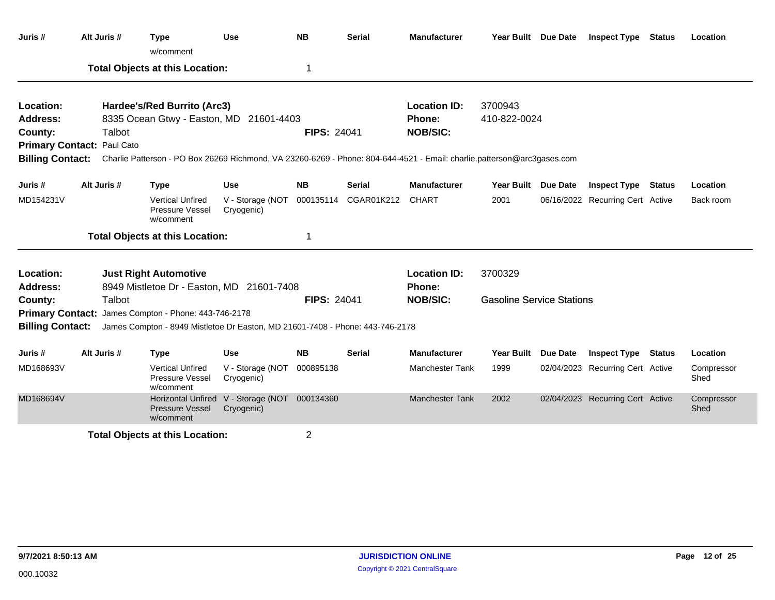| Juris #                 | Alt Juris #                       | <b>Type</b><br>w/comment                                                                                                                 | Use                                                         | <b>NB</b>          | <b>Serial</b> | <b>Manufacturer</b>    |                                  | Year Built Due Date | <b>Inspect Type</b>              | <b>Status</b> | Location           |
|-------------------------|-----------------------------------|------------------------------------------------------------------------------------------------------------------------------------------|-------------------------------------------------------------|--------------------|---------------|------------------------|----------------------------------|---------------------|----------------------------------|---------------|--------------------|
|                         |                                   | <b>Total Objects at this Location:</b>                                                                                                   |                                                             | 1                  |               |                        |                                  |                     |                                  |               |                    |
| Location:               |                                   | Hardee's/Red Burrito (Arc3)                                                                                                              |                                                             |                    |               | <b>Location ID:</b>    | 3700943                          |                     |                                  |               |                    |
| <b>Address:</b>         |                                   | 8335 Ocean Gtwy - Easton, MD 21601-4403                                                                                                  |                                                             |                    |               | Phone:                 | 410-822-0024                     |                     |                                  |               |                    |
| County:                 | Talbot                            |                                                                                                                                          |                                                             | <b>FIPS: 24041</b> |               | <b>NOB/SIC:</b>        |                                  |                     |                                  |               |                    |
|                         | <b>Primary Contact: Paul Cato</b> |                                                                                                                                          |                                                             |                    |               |                        |                                  |                     |                                  |               |                    |
|                         |                                   | Billing Contact: Charlie Patterson - PO Box 26269 Richmond, VA 23260-6269 - Phone: 804-644-4521 - Email: charlie.patterson@arc3gases.com |                                                             |                    |               |                        |                                  |                     |                                  |               |                    |
| Juris #                 | Alt Juris #                       | <b>Type</b>                                                                                                                              | <b>Use</b>                                                  | <b>NB</b>          | <b>Serial</b> | <b>Manufacturer</b>    | <b>Year Built</b>                | <b>Due Date</b>     | <b>Inspect Type</b>              | <b>Status</b> | Location           |
| MD154231V               |                                   | <b>Vertical Unfired</b><br>Pressure Vessel<br>w/comment                                                                                  | V - Storage (NOT<br>Cryogenic)                              | 000135114          | CGAR01K212    | <b>CHART</b>           | 2001                             |                     | 06/16/2022 Recurring Cert Active |               | Back room          |
|                         |                                   | <b>Total Objects at this Location:</b>                                                                                                   |                                                             | 1                  |               |                        |                                  |                     |                                  |               |                    |
| Location:               |                                   | <b>Just Right Automotive</b>                                                                                                             |                                                             |                    |               | <b>Location ID:</b>    | 3700329                          |                     |                                  |               |                    |
| <b>Address:</b>         |                                   | 8949 Mistletoe Dr - Easton, MD 21601-7408                                                                                                |                                                             |                    |               | Phone:                 |                                  |                     |                                  |               |                    |
| County:                 | Talbot                            |                                                                                                                                          |                                                             | <b>FIPS: 24041</b> |               | <b>NOB/SIC:</b>        | <b>Gasoline Service Stations</b> |                     |                                  |               |                    |
|                         |                                   | Primary Contact: James Compton - Phone: 443-746-2178                                                                                     |                                                             |                    |               |                        |                                  |                     |                                  |               |                    |
| <b>Billing Contact:</b> |                                   | James Compton - 8949 Mistletoe Dr Easton, MD 21601-7408 - Phone: 443-746-2178                                                            |                                                             |                    |               |                        |                                  |                     |                                  |               |                    |
| Juris #                 | Alt Juris #                       | <b>Type</b>                                                                                                                              | <b>Use</b>                                                  | <b>NB</b>          | <b>Serial</b> | <b>Manufacturer</b>    | <b>Year Built</b>                | <b>Due Date</b>     | <b>Inspect Type</b>              | Status        | Location           |
| MD168693V               |                                   | <b>Vertical Unfired</b><br>Pressure Vessel<br>w/comment                                                                                  | V - Storage (NOT<br>Cryogenic)                              | 000895138          |               | <b>Manchester Tank</b> | 1999                             |                     | 02/04/2023 Recurring Cert Active |               | Compressor<br>Shed |
| MD168694V               |                                   | <b>Pressure Vessel</b><br>w/comment                                                                                                      | Horizontal Unfired V - Storage (NOT 000134360<br>Cryogenic) |                    |               | <b>Manchester Tank</b> | 2002                             |                     | 02/04/2023 Recurring Cert Active |               | Compressor<br>Shed |
|                         |                                   | <b>Total Objects at this Location:</b>                                                                                                   |                                                             | 2                  |               |                        |                                  |                     |                                  |               |                    |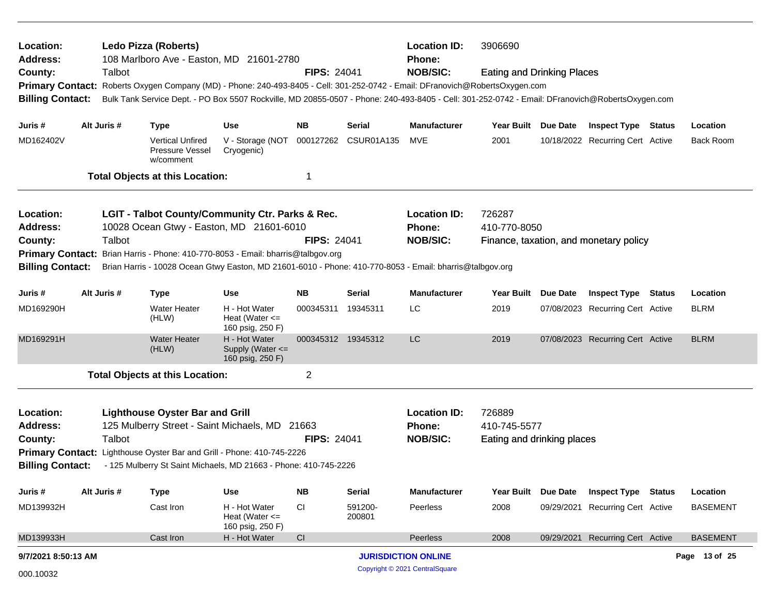| Location:<br><b>Address:</b>                                                                                                          |                                                                                             | <b>Location ID:</b><br>3906690<br>Ledo Pizza (Roberts)<br>108 Marlboro Ave - Easton, MD 21601-2780<br><b>Phone:</b>                                                                                                                                                              |                                                         |                    |                   |                                |                                   |          |                                        |  |                  |
|---------------------------------------------------------------------------------------------------------------------------------------|---------------------------------------------------------------------------------------------|----------------------------------------------------------------------------------------------------------------------------------------------------------------------------------------------------------------------------------------------------------------------------------|---------------------------------------------------------|--------------------|-------------------|--------------------------------|-----------------------------------|----------|----------------------------------------|--|------------------|
| County:<br><b>Billing Contact:</b>                                                                                                    | Talbot                                                                                      | Primary Contact: Roberts Oxygen Company (MD) - Phone: 240-493-8405 - Cell: 301-252-0742 - Email: DFranovich@RobertsOxygen.com<br>Bulk Tank Service Dept. - PO Box 5507 Rockville, MD 20855-0507 - Phone: 240-493-8405 - Cell: 301-252-0742 - Email: DFranovich@RobertsOxygen.com |                                                         | <b>FIPS: 24041</b> |                   | <b>NOB/SIC:</b>                | <b>Eating and Drinking Places</b> |          |                                        |  |                  |
| Juris #                                                                                                                               | Alt Juris #                                                                                 | <b>Type</b>                                                                                                                                                                                                                                                                      | Use                                                     | <b>NB</b>          | Serial            | <b>Manufacturer</b>            | <b>Year Built</b>                 | Due Date | <b>Inspect Type Status</b>             |  | Location         |
| MD162402V                                                                                                                             |                                                                                             | <b>Vertical Unfired</b><br><b>Pressure Vessel</b><br>w/comment                                                                                                                                                                                                                   | V - Storage (NOT<br>Cryogenic)                          | 000127262          | <b>CSUR01A135</b> | MVE                            | 2001                              |          | 10/18/2022 Recurring Cert Active       |  | <b>Back Room</b> |
|                                                                                                                                       |                                                                                             | <b>Total Objects at this Location:</b>                                                                                                                                                                                                                                           |                                                         | 1                  |                   |                                |                                   |          |                                        |  |                  |
| Location:<br><b>Address:</b>                                                                                                          |                                                                                             | LGIT - Talbot County/Community Ctr. Parks & Rec.<br>10028 Ocean Gtwy - Easton, MD 21601-6010                                                                                                                                                                                     |                                                         |                    |                   | <b>Location ID:</b><br>Phone:  | 726287<br>410-770-8050            |          |                                        |  |                  |
| Talbot<br><b>FIPS: 24041</b><br>County:<br>Brian Harris - Phone: 410-770-8053 - Email: bharris@talbgov.org<br><b>Primary Contact:</b> |                                                                                             |                                                                                                                                                                                                                                                                                  |                                                         |                    |                   | <b>NOB/SIC:</b>                |                                   |          | Finance, taxation, and monetary policy |  |                  |
| <b>Billing Contact:</b><br>Brian Harris - 10028 Ocean Gtwy Easton, MD 21601-6010 - Phone: 410-770-8053 - Email: bharris@talbgov.org   |                                                                                             |                                                                                                                                                                                                                                                                                  |                                                         |                    |                   |                                |                                   |          |                                        |  |                  |
| Juris #                                                                                                                               | Alt Juris #<br><b>NB</b><br><b>Serial</b><br><b>Type</b><br><b>Use</b>                      |                                                                                                                                                                                                                                                                                  |                                                         |                    |                   | <b>Manufacturer</b>            | <b>Year Built</b>                 | Due Date | <b>Inspect Type Status</b>             |  | Location         |
| MD169290H                                                                                                                             |                                                                                             | <b>Water Heater</b><br>(HLW)                                                                                                                                                                                                                                                     | H - Hot Water<br>Heat (Water $\leq$<br>160 psig, 250 F) | 000345311 19345311 |                   | LC.                            | 2019                              |          | 07/08/2023 Recurring Cert Active       |  | <b>BLRM</b>      |
| MD169291H                                                                                                                             |                                                                                             | <b>Water Heater</b><br>(HLW)                                                                                                                                                                                                                                                     | H - Hot Water<br>Supply (Water <=<br>160 psig, 250 F)   | 000345312 19345312 |                   | LC                             | 2019                              |          | 07/08/2023 Recurring Cert Active       |  | <b>BLRM</b>      |
|                                                                                                                                       |                                                                                             | <b>Total Objects at this Location:</b>                                                                                                                                                                                                                                           |                                                         | $\overline{2}$     |                   |                                |                                   |          |                                        |  |                  |
| Location:                                                                                                                             |                                                                                             | <b>Lighthouse Oyster Bar and Grill</b>                                                                                                                                                                                                                                           |                                                         |                    |                   | <b>Location ID:</b>            | 726889                            |          |                                        |  |                  |
| <b>Address:</b>                                                                                                                       |                                                                                             | 125 Mulberry Street - Saint Michaels, MD 21663                                                                                                                                                                                                                                   |                                                         |                    |                   | Phone:                         | 410-745-5577                      |          |                                        |  |                  |
| County:                                                                                                                               | Talbot                                                                                      |                                                                                                                                                                                                                                                                                  |                                                         | <b>FIPS: 24041</b> |                   | <b>NOB/SIC:</b>                | Eating and drinking places        |          |                                        |  |                  |
|                                                                                                                                       |                                                                                             | Primary Contact: Lighthouse Oyster Bar and Grill - Phone: 410-745-2226                                                                                                                                                                                                           |                                                         |                    |                   |                                |                                   |          |                                        |  |                  |
|                                                                                                                                       | <b>Billing Contact:</b><br>- 125 Mulberry St Saint Michaels, MD 21663 - Phone: 410-745-2226 |                                                                                                                                                                                                                                                                                  |                                                         |                    |                   |                                |                                   |          |                                        |  |                  |
| Juris #                                                                                                                               | Alt Juris #                                                                                 | <b>Type</b>                                                                                                                                                                                                                                                                      | Use                                                     | <b>NB</b>          | <b>Serial</b>     | <b>Manufacturer</b>            | <b>Year Built</b>                 | Due Date | <b>Inspect Type Status</b>             |  | Location         |
| MD139932H                                                                                                                             |                                                                                             | Cast Iron                                                                                                                                                                                                                                                                        | H - Hot Water<br>Heat (Water $\leq$<br>160 psig, 250 F) | <b>CI</b>          | 591200-<br>200801 | Peerless                       | 2008                              |          | 09/29/2021 Recurring Cert Active       |  | <b>BASEMENT</b>  |
| MD139933H                                                                                                                             |                                                                                             | Cast Iron                                                                                                                                                                                                                                                                        | H - Hot Water                                           | CI                 |                   | Peerless                       | 2008                              |          | 09/29/2021 Recurring Cert Active       |  | <b>BASEMENT</b>  |
| 9/7/2021 8:50:13 AM                                                                                                                   |                                                                                             |                                                                                                                                                                                                                                                                                  |                                                         |                    |                   | <b>JURISDICTION ONLINE</b>     |                                   |          |                                        |  | Page 13 of 25    |
| 000.10032                                                                                                                             |                                                                                             |                                                                                                                                                                                                                                                                                  |                                                         |                    |                   | Copyright © 2021 CentralSquare |                                   |          |                                        |  |                  |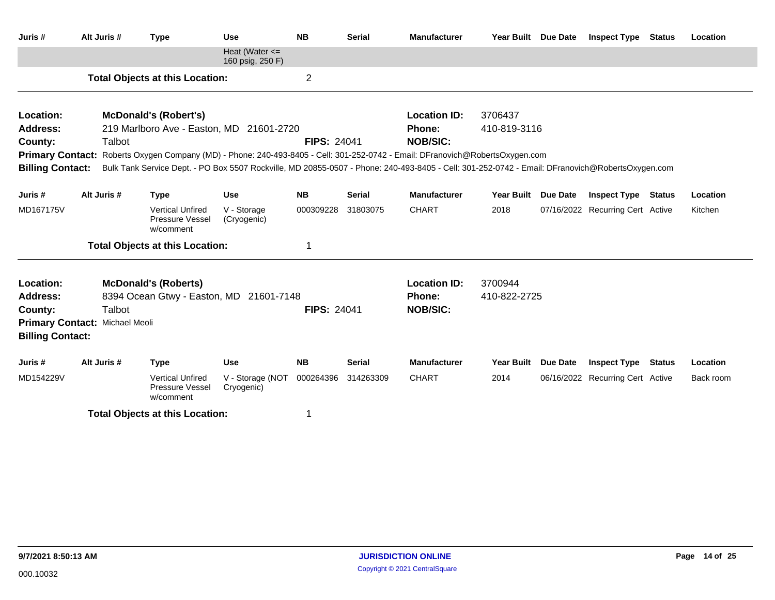| Juris#                         | Alt Juris # | <b>Type</b>                                                                                                                                     | <b>Use</b>                             | <b>NB</b>          | <b>Serial</b> | <b>Manufacturer</b> | Year Built Due Date |                 | <b>Inspect Type</b>              | <b>Status</b> | Location  |
|--------------------------------|-------------|-------------------------------------------------------------------------------------------------------------------------------------------------|----------------------------------------|--------------------|---------------|---------------------|---------------------|-----------------|----------------------------------|---------------|-----------|
|                                |             |                                                                                                                                                 | Heat (Water $\leq$<br>160 psig, 250 F) |                    |               |                     |                     |                 |                                  |               |           |
|                                |             | <b>Total Objects at this Location:</b>                                                                                                          |                                        | $\mathbf 2$        |               |                     |                     |                 |                                  |               |           |
| Location:                      |             | <b>McDonald's (Robert's)</b>                                                                                                                    |                                        |                    |               | <b>Location ID:</b> | 3706437             |                 |                                  |               |           |
| <b>Address:</b>                |             | 219 Marlboro Ave - Easton, MD 21601-2720                                                                                                        |                                        |                    |               | Phone:              | 410-819-3116        |                 |                                  |               |           |
| County:                        | Talbot      |                                                                                                                                                 |                                        | <b>FIPS: 24041</b> |               | <b>NOB/SIC:</b>     |                     |                 |                                  |               |           |
|                                |             | Primary Contact: Roberts Oxygen Company (MD) - Phone: 240-493-8405 - Cell: 301-252-0742 - Email: DFranovich@RobertsOxygen.com                   |                                        |                    |               |                     |                     |                 |                                  |               |           |
| <b>Billing Contact:</b>        |             | Bulk Tank Service Dept. - PO Box 5507 Rockville, MD 20855-0507 - Phone: 240-493-8405 - Cell: 301-252-0742 - Email: DFranovich@RobertsOxygen.com |                                        |                    |               |                     |                     |                 |                                  |               |           |
| Juris #                        | Alt Juris # | <b>Type</b>                                                                                                                                     | <b>Use</b>                             | <b>NB</b>          | <b>Serial</b> | <b>Manufacturer</b> | Year Built Due Date |                 | <b>Inspect Type Status</b>       |               | Location  |
| MD167175V                      |             | <b>Vertical Unfired</b><br>Pressure Vessel<br>w/comment                                                                                         | V - Storage<br>(Cryogenic)             | 000309228          | 31803075      | <b>CHART</b>        | 2018                |                 | 07/16/2022 Recurring Cert Active |               | Kitchen   |
|                                |             | <b>Total Objects at this Location:</b>                                                                                                          |                                        |                    |               |                     |                     |                 |                                  |               |           |
| Location:                      |             | <b>McDonald's (Roberts)</b>                                                                                                                     |                                        |                    |               | <b>Location ID:</b> | 3700944             |                 |                                  |               |           |
| <b>Address:</b>                |             | 8394 Ocean Gtwy - Easton, MD 21601-7148                                                                                                         |                                        |                    |               | Phone:              | 410-822-2725        |                 |                                  |               |           |
| County:                        | Talbot      |                                                                                                                                                 |                                        | <b>FIPS: 24041</b> |               | <b>NOB/SIC:</b>     |                     |                 |                                  |               |           |
| Primary Contact: Michael Meoli |             |                                                                                                                                                 |                                        |                    |               |                     |                     |                 |                                  |               |           |
| <b>Billing Contact:</b>        |             |                                                                                                                                                 |                                        |                    |               |                     |                     |                 |                                  |               |           |
| Juris #                        | Alt Juris # | <b>Type</b>                                                                                                                                     | <b>Use</b>                             | <b>NB</b>          | <b>Serial</b> | <b>Manufacturer</b> | <b>Year Built</b>   | <b>Due Date</b> | <b>Inspect Type Status</b>       |               | Location  |
| MD154229V                      |             | <b>Vertical Unfired</b><br>Pressure Vessel<br>w/comment                                                                                         | V - Storage (NOT<br>Cryogenic)         | 000264396          | 314263309     | <b>CHART</b>        | 2014                |                 | 06/16/2022 Recurring Cert Active |               | Back room |
|                                |             | <b>Total Objects at this Location:</b>                                                                                                          |                                        |                    |               |                     |                     |                 |                                  |               |           |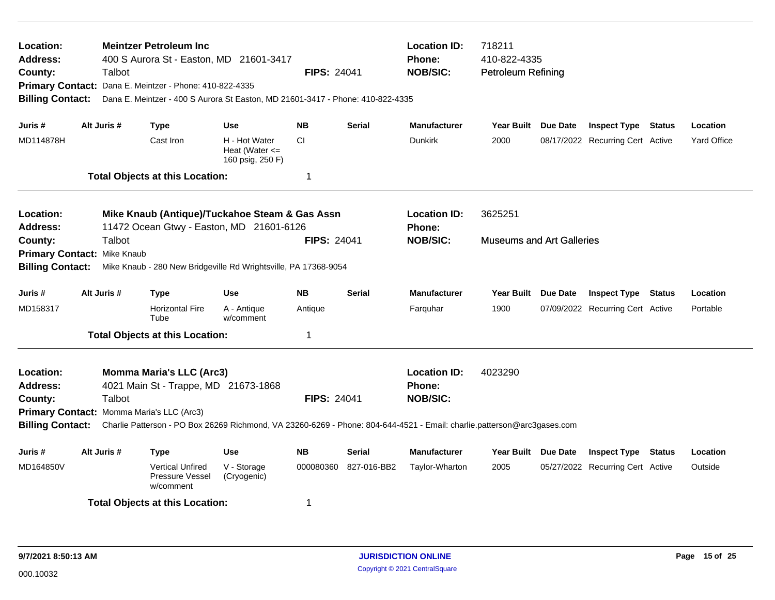| Location:<br><b>Address:</b><br>County:<br><b>Primary Contact:</b><br><b>Billing Contact:</b>                                                                                                                       |                                             | Talbot      | <b>Meintzer Petroleum Inc</b><br>400 S Aurora St - Easton, MD 21601-3417<br>Dana E. Meintzer - Phone: 410-822-4335<br>Dana E. Meintzer - 400 S Aurora St Easton, MD 21601-3417 - Phone: 410-822-4335 |                                                         | <b>FIPS: 24041</b>                                      |                                      | <b>Location ID:</b><br>718211<br><b>Phone:</b><br>410-822-4335<br><b>NOB/SIC:</b><br><b>Petroleum Refining</b>          |                                  |                 |                                  |               |                    |
|---------------------------------------------------------------------------------------------------------------------------------------------------------------------------------------------------------------------|---------------------------------------------|-------------|------------------------------------------------------------------------------------------------------------------------------------------------------------------------------------------------------|---------------------------------------------------------|---------------------------------------------------------|--------------------------------------|-------------------------------------------------------------------------------------------------------------------------|----------------------------------|-----------------|----------------------------------|---------------|--------------------|
| Juris #                                                                                                                                                                                                             |                                             | Alt Juris # | <b>Type</b>                                                                                                                                                                                          | <b>Use</b>                                              | <b>NB</b>                                               | <b>Serial</b>                        | <b>Manufacturer</b>                                                                                                     | <b>Year Built</b>                | <b>Due Date</b> | <b>Inspect Type</b>              | <b>Status</b> | Location           |
| MD114878H                                                                                                                                                                                                           |                                             |             | Cast Iron                                                                                                                                                                                            | H - Hot Water<br>Heat (Water $\leq$<br>160 psig, 250 F) | CI.                                                     |                                      | <b>Dunkirk</b>                                                                                                          | 2000                             |                 | 08/17/2022 Recurring Cert Active |               | <b>Yard Office</b> |
|                                                                                                                                                                                                                     |                                             |             | <b>Total Objects at this Location:</b>                                                                                                                                                               |                                                         | 1                                                       |                                      |                                                                                                                         |                                  |                 |                                  |               |                    |
| Location:<br>Mike Knaub (Antique)/Tuckahoe Steam & Gas Assn<br>11472 Ocean Gtwy - Easton, MD 21601-6126<br>Address:<br>Talbot<br><b>FIPS: 24041</b><br>County:                                                      |                                             |             |                                                                                                                                                                                                      |                                                         |                                                         | <b>Location ID:</b><br><b>Phone:</b> | 3625251                                                                                                                 |                                  |                 |                                  |               |                    |
| Primary Contact: Mike Knaub                                                                                                                                                                                         |                                             |             |                                                                                                                                                                                                      |                                                         |                                                         |                                      | <b>NOB/SIC:</b>                                                                                                         | <b>Museums and Art Galleries</b> |                 |                                  |               |                    |
|                                                                                                                                                                                                                     |                                             |             |                                                                                                                                                                                                      |                                                         |                                                         |                                      |                                                                                                                         |                                  |                 |                                  |               |                    |
| <b>Billing Contact:</b>                                                                                                                                                                                             |                                             |             | Mike Knaub - 280 New Bridgeville Rd Wrightsville, PA 17368-9054                                                                                                                                      |                                                         |                                                         |                                      |                                                                                                                         |                                  |                 |                                  |               |                    |
| Juris #                                                                                                                                                                                                             |                                             | Alt Juris # | Type                                                                                                                                                                                                 | Use                                                     | <b>NB</b>                                               | <b>Serial</b>                        | <b>Manufacturer</b>                                                                                                     | <b>Year Built</b>                | <b>Due Date</b> | <b>Inspect Type</b>              | Status        | Location           |
| MD158317                                                                                                                                                                                                            |                                             |             | <b>Horizontal Fire</b><br>Tube                                                                                                                                                                       | A - Antique<br>w/comment                                | Antique                                                 |                                      | Farquhar                                                                                                                | 1900                             |                 | 07/09/2022 Recurring Cert Active |               | Portable           |
|                                                                                                                                                                                                                     |                                             |             |                                                                                                                                                                                                      |                                                         | 1                                                       |                                      |                                                                                                                         |                                  |                 |                                  |               |                    |
| <b>Total Objects at this Location:</b><br><b>Momma Maria's LLC (Arc3)</b><br>Location:<br><b>Address:</b><br>4021 Main St - Trappe, MD 21673-1868<br>Talbot<br>County:<br>Primary Contact: Momma Maria's LLC (Arc3) |                                             |             | <b>FIPS: 24041</b>                                                                                                                                                                                   |                                                         | <b>Location ID:</b><br><b>Phone:</b><br><b>NOB/SIC:</b> | 4023290                              |                                                                                                                         |                                  |                 |                                  |               |                    |
| <b>Billing Contact:</b>                                                                                                                                                                                             |                                             |             |                                                                                                                                                                                                      |                                                         |                                                         |                                      | Charlie Patterson - PO Box 26269 Richmond, VA 23260-6269 - Phone: 804-644-4521 - Email: charlie.patterson@arc3gases.com |                                  |                 |                                  |               |                    |
| Juris #                                                                                                                                                                                                             |                                             | Alt Juris # | Type                                                                                                                                                                                                 | <b>Use</b>                                              | <b>NB</b>                                               | <b>Serial</b>                        | <b>Manufacturer</b>                                                                                                     | Year Built Due Date              |                 | <b>Inspect Type</b>              | <b>Status</b> | Location           |
| MD164850V                                                                                                                                                                                                           |                                             |             | <b>Vertical Unfired</b><br>Pressure Vessel<br>w/comment                                                                                                                                              | V - Storage<br>(Cryogenic)                              | 000080360                                               | 827-016-BB2                          | Taylor-Wharton                                                                                                          | 2005                             |                 | 05/27/2022 Recurring Cert Active |               | Outside            |
|                                                                                                                                                                                                                     | <b>Total Objects at this Location:</b><br>1 |             |                                                                                                                                                                                                      |                                                         |                                                         |                                      |                                                                                                                         |                                  |                 |                                  |               |                    |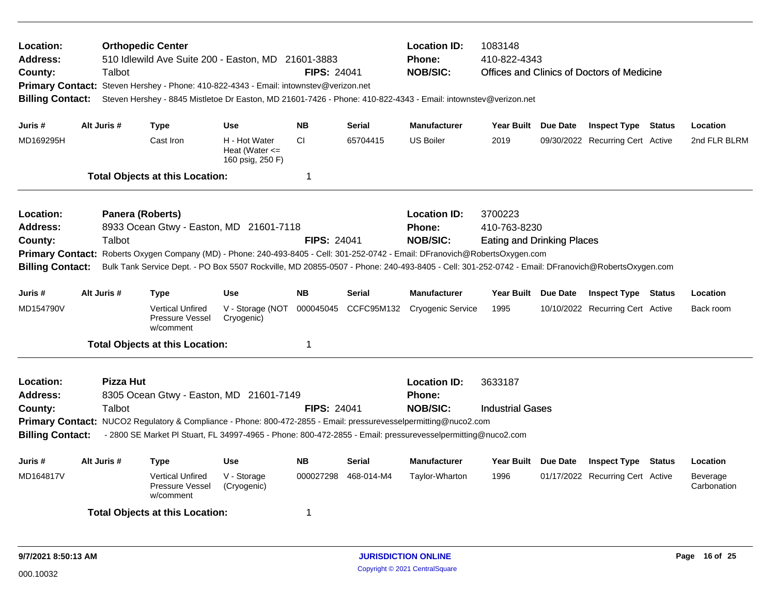| Location:<br>Address:<br>County:<br><b>Billing Contact:</b><br>Juris #                                                                                                                                                                                                                                                                                                                                                                                   |                                                                                                                                                                                                                                                                                                                                                                                              | Talbot      | <b>Orthopedic Center</b><br>510 Idlewild Ave Suite 200 - Easton, MD 21601-3883<br><b>FIPS: 24041</b><br>Primary Contact: Steven Hershey - Phone: 410-822-4343 - Email: intownstev@verizon.net<br>Steven Hershey - 8845 Mistletoe Dr Easton, MD 21601-7426 - Phone: 410-822-4343 - Email: intownstev@verizon.net<br><b>NB</b><br><b>Serial</b><br><b>Use</b> |                                                         |                |                      |                                                         | <b>Location ID:</b><br>1083148<br>410-822-4343<br><b>Phone:</b><br><b>NOB/SIC:</b><br>Offices and Clinics of Doctors of Medicine |  |                                  |        |                         |
|----------------------------------------------------------------------------------------------------------------------------------------------------------------------------------------------------------------------------------------------------------------------------------------------------------------------------------------------------------------------------------------------------------------------------------------------------------|----------------------------------------------------------------------------------------------------------------------------------------------------------------------------------------------------------------------------------------------------------------------------------------------------------------------------------------------------------------------------------------------|-------------|-------------------------------------------------------------------------------------------------------------------------------------------------------------------------------------------------------------------------------------------------------------------------------------------------------------------------------------------------------------|---------------------------------------------------------|----------------|----------------------|---------------------------------------------------------|----------------------------------------------------------------------------------------------------------------------------------|--|----------------------------------|--------|-------------------------|
|                                                                                                                                                                                                                                                                                                                                                                                                                                                          |                                                                                                                                                                                                                                                                                                                                                                                              | Alt Juris # | <b>Type</b>                                                                                                                                                                                                                                                                                                                                                 |                                                         |                |                      | <b>Manufacturer</b>                                     | Year Built Due Date                                                                                                              |  | <b>Inspect Type Status</b>       |        | Location                |
| MD169295H                                                                                                                                                                                                                                                                                                                                                                                                                                                |                                                                                                                                                                                                                                                                                                                                                                                              |             | Cast Iron                                                                                                                                                                                                                                                                                                                                                   | H - Hot Water<br>Heat (Water $\leq$<br>160 psig, 250 F) | CI             | 65704415             | <b>US Boiler</b>                                        | 2019                                                                                                                             |  | 09/30/2022 Recurring Cert Active |        | 2nd FLR BLRM            |
|                                                                                                                                                                                                                                                                                                                                                                                                                                                          |                                                                                                                                                                                                                                                                                                                                                                                              |             | <b>Total Objects at this Location:</b>                                                                                                                                                                                                                                                                                                                      |                                                         | $\mathbf 1$    |                      |                                                         |                                                                                                                                  |  |                                  |        |                         |
| Location:<br>Panera (Roberts)<br>8933 Ocean Gtwy - Easton, MD 21601-7118<br>Address:<br>County:<br>Talbot<br><b>FIPS: 24041</b><br>Roberts Oxygen Company (MD) - Phone: 240-493-8405 - Cell: 301-252-0742 - Email: DFranovich@RobertsOxygen.com<br><b>Primary Contact:</b><br>Bulk Tank Service Dept. - PO Box 5507 Rockville, MD 20855-0507 - Phone: 240-493-8405 - Cell: 301-252-0742 - Email: DFranovich@RobertsOxygen.com<br><b>Billing Contact:</b> |                                                                                                                                                                                                                                                                                                                                                                                              |             |                                                                                                                                                                                                                                                                                                                                                             |                                                         |                |                      | <b>Location ID:</b><br><b>Phone:</b><br><b>NOB/SIC:</b> | 3700223<br>410-763-8230<br><b>Eating and Drinking Places</b>                                                                     |  |                                  |        |                         |
| Juris #                                                                                                                                                                                                                                                                                                                                                                                                                                                  |                                                                                                                                                                                                                                                                                                                                                                                              | Alt Juris # | <b>Type</b>                                                                                                                                                                                                                                                                                                                                                 | <b>Use</b>                                              | <b>NB</b>      | <b>Serial</b>        | <b>Manufacturer</b>                                     | Year Built Due Date                                                                                                              |  | <b>Inspect Type Status</b>       |        | Location                |
| MD154790V                                                                                                                                                                                                                                                                                                                                                                                                                                                |                                                                                                                                                                                                                                                                                                                                                                                              |             | <b>Vertical Unfired</b><br>Pressure Vessel<br>w/comment                                                                                                                                                                                                                                                                                                     | V - Storage (NOT<br>Cryogenic)                          |                | 000045045 CCFC95M132 | Cryogenic Service                                       | 1995                                                                                                                             |  | 10/10/2022 Recurring Cert Active |        | Back room               |
|                                                                                                                                                                                                                                                                                                                                                                                                                                                          |                                                                                                                                                                                                                                                                                                                                                                                              |             |                                                                                                                                                                                                                                                                                                                                                             |                                                         | -1             |                      |                                                         |                                                                                                                                  |  |                                  |        |                         |
| Location:<br>Address:<br>County:                                                                                                                                                                                                                                                                                                                                                                                                                         | <b>Total Objects at this Location:</b><br>Pizza Hut<br>8305 Ocean Gtwy - Easton, MD 21601-7149<br>Talbot<br><b>FIPS: 24041</b><br>Primary Contact: NUCO2 Regulatory & Compliance - Phone: 800-472-2855 - Email: pressurevesselpermitting@nuco2.com<br><b>Billing Contact:</b><br>- 2800 SE Market PI Stuart, FL 34997-4965 - Phone: 800-472-2855 - Email: pressurevesselpermitting@nuco2.com |             |                                                                                                                                                                                                                                                                                                                                                             |                                                         |                |                      | <b>Location ID:</b><br><b>Phone:</b><br><b>NOB/SIC:</b> | 3633187<br><b>Industrial Gases</b>                                                                                               |  |                                  |        |                         |
| Juris #                                                                                                                                                                                                                                                                                                                                                                                                                                                  |                                                                                                                                                                                                                                                                                                                                                                                              | Alt Juris # | <b>Type</b>                                                                                                                                                                                                                                                                                                                                                 | <b>Use</b>                                              | <b>NB</b>      | <b>Serial</b>        | <b>Manufacturer</b>                                     | Year Built Due Date                                                                                                              |  | <b>Inspect Type</b>              | Status | Location                |
| MD164817V                                                                                                                                                                                                                                                                                                                                                                                                                                                |                                                                                                                                                                                                                                                                                                                                                                                              |             | <b>Vertical Unfired</b><br>Pressure Vessel<br>w/comment                                                                                                                                                                                                                                                                                                     | V - Storage<br>(Cryogenic)                              | 000027298      | 468-014-M4           | Taylor-Wharton                                          | 1996                                                                                                                             |  | 01/17/2022 Recurring Cert Active |        | Beverage<br>Carbonation |
|                                                                                                                                                                                                                                                                                                                                                                                                                                                          |                                                                                                                                                                                                                                                                                                                                                                                              |             | <b>Total Objects at this Location:</b>                                                                                                                                                                                                                                                                                                                      |                                                         | $\overline{1}$ |                      |                                                         |                                                                                                                                  |  |                                  |        |                         |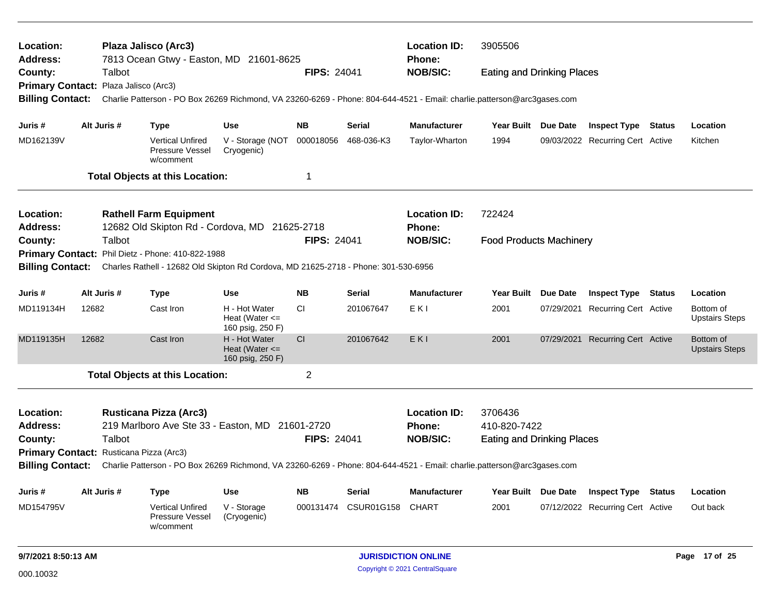| Location:<br><b>Address:</b>                                                                                                                                                                  |                                                                                                                                                                     |             | Plaza Jalisco (Arc3)<br>7813 Ocean Gtwy - Easton, MD 21601-8625                                                         |                                                         |                    |                            | <b>Location ID:</b><br>Phone: | 3905506                           |  |                                  |               |                                    |
|-----------------------------------------------------------------------------------------------------------------------------------------------------------------------------------------------|---------------------------------------------------------------------------------------------------------------------------------------------------------------------|-------------|-------------------------------------------------------------------------------------------------------------------------|---------------------------------------------------------|--------------------|----------------------------|-------------------------------|-----------------------------------|--|----------------------------------|---------------|------------------------------------|
| County:                                                                                                                                                                                       |                                                                                                                                                                     | Talbot      |                                                                                                                         |                                                         | <b>FIPS: 24041</b> |                            | <b>NOB/SIC:</b>               | <b>Eating and Drinking Places</b> |  |                                  |               |                                    |
| Primary Contact: Plaza Jalisco (Arc3)                                                                                                                                                         |                                                                                                                                                                     |             |                                                                                                                         |                                                         |                    |                            |                               |                                   |  |                                  |               |                                    |
| <b>Billing Contact:</b>                                                                                                                                                                       |                                                                                                                                                                     |             | Charlie Patterson - PO Box 26269 Richmond, VA 23260-6269 - Phone: 804-644-4521 - Email: charlie.patterson@arc3gases.com |                                                         |                    |                            |                               |                                   |  |                                  |               |                                    |
| Juris #                                                                                                                                                                                       |                                                                                                                                                                     | Alt Juris # | <b>Type</b>                                                                                                             | <b>Use</b>                                              | <b>NB</b>          | Serial                     | <b>Manufacturer</b>           | Year Built Due Date               |  | <b>Inspect Type</b>              | Status        | Location                           |
| MD162139V                                                                                                                                                                                     |                                                                                                                                                                     |             | <b>Vertical Unfired</b><br>Pressure Vessel<br>w/comment                                                                 | V - Storage (NOT<br>Cryogenic)                          | 000018056          | 468-036-K3                 | Taylor-Wharton                | 1994                              |  | 09/03/2022 Recurring Cert Active |               | Kitchen                            |
|                                                                                                                                                                                               |                                                                                                                                                                     |             | <b>Total Objects at this Location:</b>                                                                                  |                                                         | 1                  |                            |                               |                                   |  |                                  |               |                                    |
| Location:                                                                                                                                                                                     |                                                                                                                                                                     |             | <b>Rathell Farm Equipment</b>                                                                                           |                                                         |                    |                            | <b>Location ID:</b>           | 722424                            |  |                                  |               |                                    |
| <b>Address:</b>                                                                                                                                                                               |                                                                                                                                                                     |             | 12682 Old Skipton Rd - Cordova, MD 21625-2718                                                                           |                                                         |                    |                            | <b>Phone:</b>                 |                                   |  |                                  |               |                                    |
| County:                                                                                                                                                                                       |                                                                                                                                                                     | Talbot      |                                                                                                                         |                                                         | <b>FIPS: 24041</b> |                            | <b>NOB/SIC:</b>               | <b>Food Products Machinery</b>    |  |                                  |               |                                    |
|                                                                                                                                                                                               | Primary Contact: Phil Dietz - Phone: 410-822-1988<br><b>Billing Contact:</b><br>Charles Rathell - 12682 Old Skipton Rd Cordova, MD 21625-2718 - Phone: 301-530-6956 |             |                                                                                                                         |                                                         |                    |                            |                               |                                   |  |                                  |               |                                    |
|                                                                                                                                                                                               |                                                                                                                                                                     |             |                                                                                                                         |                                                         |                    |                            |                               |                                   |  |                                  |               |                                    |
| Juris #                                                                                                                                                                                       | Alt Juris #<br><b>Type</b><br><b>Use</b>                                                                                                                            |             |                                                                                                                         |                                                         | <b>NB</b>          | Serial                     | <b>Manufacturer</b>           | Year Built Due Date               |  | <b>Inspect Type</b>              | <b>Status</b> | Location                           |
| MD119134H                                                                                                                                                                                     | 12682                                                                                                                                                               |             | Cast Iron                                                                                                               | H - Hot Water<br>Heat (Water $\leq$<br>160 psig, 250 F) | <b>CI</b>          | 201067647                  | EKI                           | 2001                              |  | 07/29/2021 Recurring Cert Active |               | Bottom of<br><b>Upstairs Steps</b> |
| MD119135H                                                                                                                                                                                     | 12682                                                                                                                                                               |             | Cast Iron                                                                                                               | H - Hot Water<br>Heat (Water $\leq$<br>160 psig, 250 F) | <sub>CI</sub>      | 201067642                  | EKI                           | 2001                              |  | 07/29/2021 Recurring Cert Active |               | Bottom of<br><b>Upstairs Steps</b> |
|                                                                                                                                                                                               |                                                                                                                                                                     |             | <b>Total Objects at this Location:</b>                                                                                  |                                                         | $\overline{c}$     |                            |                               |                                   |  |                                  |               |                                    |
| Location:                                                                                                                                                                                     |                                                                                                                                                                     |             | <b>Rusticana Pizza (Arc3)</b>                                                                                           |                                                         |                    |                            | <b>Location ID:</b>           | 3706436                           |  |                                  |               |                                    |
| <b>Address:</b>                                                                                                                                                                               |                                                                                                                                                                     |             | 219 Marlboro Ave Ste 33 - Easton, MD 21601-2720                                                                         |                                                         |                    |                            | <b>Phone:</b>                 | 410-820-7422                      |  |                                  |               |                                    |
| County:                                                                                                                                                                                       |                                                                                                                                                                     | Talbot      |                                                                                                                         |                                                         | <b>FIPS: 24041</b> |                            | <b>NOB/SIC:</b>               | <b>Eating and Drinking Places</b> |  |                                  |               |                                    |
|                                                                                                                                                                                               |                                                                                                                                                                     |             |                                                                                                                         |                                                         |                    |                            |                               |                                   |  |                                  |               |                                    |
| Primary Contact: Rusticana Pizza (Arc3)<br><b>Billing Contact:</b><br>Charlie Patterson - PO Box 26269 Richmond, VA 23260-6269 - Phone: 804-644-4521 - Email: charlie.patterson@arc3gases.com |                                                                                                                                                                     |             |                                                                                                                         |                                                         |                    |                            |                               |                                   |  |                                  |               |                                    |
| Juris #                                                                                                                                                                                       |                                                                                                                                                                     | Alt Juris # | <b>Type</b>                                                                                                             | <b>Use</b>                                              | NΒ                 | <b>Serial</b>              | <b>Manufacturer</b>           | Year Built Due Date               |  | <b>Inspect Type Status</b>       |               | Location                           |
| MD154795V                                                                                                                                                                                     |                                                                                                                                                                     |             | <b>Vertical Unfired</b><br><b>Pressure Vessel</b><br>w/comment                                                          | V - Storage<br>(Cryogenic)                              | 000131474          | <b>CSUR01G158</b>          | <b>CHART</b>                  | 2001                              |  | 07/12/2022 Recurring Cert Active |               | Out back                           |
| 9/7/2021 8:50:13 AM                                                                                                                                                                           |                                                                                                                                                                     |             |                                                                                                                         |                                                         |                    | <b>JURISDICTION ONLINE</b> |                               |                                   |  |                                  | Page 17 of 25 |                                    |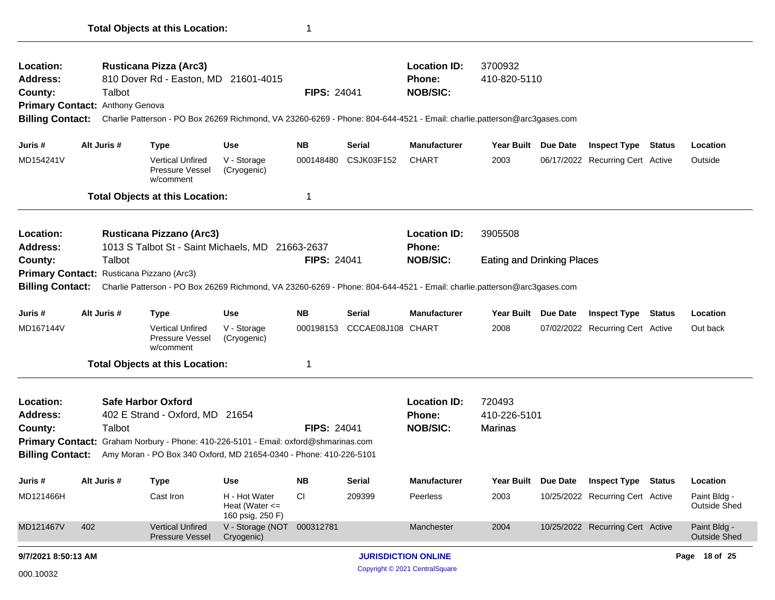| Location:<br>Address:<br>County:                           |     | Talbot      | <b>Rusticana Pizza (Arc3)</b><br>810 Dover Rd - Easton, MD 21601-4015                                                   |                                                         | <b>FIPS: 24041</b> |                   | <b>Location ID:</b><br><b>Phone:</b><br><b>NOB/SIC:</b> | 3700932<br>410-820-5110           |                                  |               |                                     |
|------------------------------------------------------------|-----|-------------|-------------------------------------------------------------------------------------------------------------------------|---------------------------------------------------------|--------------------|-------------------|---------------------------------------------------------|-----------------------------------|----------------------------------|---------------|-------------------------------------|
| Primary Contact: Anthony Genova<br><b>Billing Contact:</b> |     |             | Charlie Patterson - PO Box 26269 Richmond, VA 23260-6269 - Phone: 804-644-4521 - Email: charlie.patterson@arc3gases.com |                                                         |                    |                   |                                                         |                                   |                                  |               |                                     |
| Juris #                                                    |     | Alt Juris # | <b>Type</b>                                                                                                             | <b>Use</b>                                              | <b>NB</b>          | Serial            | <b>Manufacturer</b>                                     | Year Built Due Date               | <b>Inspect Type</b>              | <b>Status</b> | Location                            |
| MD154241V                                                  |     |             | <b>Vertical Unfired</b><br>Pressure Vessel<br>w/comment                                                                 | V - Storage<br>(Cryogenic)                              | 000148480          | <b>CSJK03F152</b> | <b>CHART</b>                                            | 2003                              | 06/17/2022 Recurring Cert Active |               | Outside                             |
|                                                            |     |             | <b>Total Objects at this Location:</b>                                                                                  |                                                         | 1                  |                   |                                                         |                                   |                                  |               |                                     |
| Location:<br>Address:                                      |     |             | <b>Rusticana Pizzano (Arc3)</b><br>1013 S Talbot St - Saint Michaels, MD 21663-2637                                     |                                                         |                    |                   | <b>Location ID:</b><br><b>Phone:</b>                    | 3905508                           |                                  |               |                                     |
| County:                                                    |     | Talbot      |                                                                                                                         |                                                         | <b>FIPS: 24041</b> |                   | <b>NOB/SIC:</b>                                         | <b>Eating and Drinking Places</b> |                                  |               |                                     |
| <b>Primary Contact:</b>                                    |     |             | Rusticana Pizzano (Arc3)                                                                                                |                                                         |                    |                   |                                                         |                                   |                                  |               |                                     |
| <b>Billing Contact:</b>                                    |     |             | Charlie Patterson - PO Box 26269 Richmond, VA 23260-6269 - Phone: 804-644-4521 - Email: charlie.patterson@arc3gases.com |                                                         |                    |                   |                                                         |                                   |                                  |               |                                     |
| Juris #                                                    |     | Alt Juris # | <b>Type</b>                                                                                                             | <b>Use</b>                                              | <b>NB</b>          | <b>Serial</b>     | <b>Manufacturer</b>                                     | Year Built Due Date               | <b>Inspect Type Status</b>       |               | Location                            |
| MD167144V                                                  |     |             | <b>Vertical Unfired</b><br>Pressure Vessel<br>w/comment                                                                 | V - Storage<br>(Cryogenic)                              | 000198153          | CCCAE08J108 CHART |                                                         | 2008                              | 07/02/2022 Recurring Cert Active |               | Out back                            |
|                                                            |     |             | <b>Total Objects at this Location:</b>                                                                                  |                                                         | 1                  |                   |                                                         |                                   |                                  |               |                                     |
| Location:                                                  |     |             | <b>Safe Harbor Oxford</b>                                                                                               |                                                         |                    |                   | <b>Location ID:</b>                                     | 720493                            |                                  |               |                                     |
| Address:                                                   |     |             | 402 E Strand - Oxford, MD 21654                                                                                         |                                                         |                    |                   | <b>Phone:</b>                                           | 410-226-5101                      |                                  |               |                                     |
| County:                                                    |     | Talbot      |                                                                                                                         |                                                         | <b>FIPS: 24041</b> |                   | <b>NOB/SIC:</b>                                         | Marinas                           |                                  |               |                                     |
|                                                            |     |             | Primary Contact: Graham Norbury - Phone: 410-226-5101 - Email: oxford@shmarinas.com                                     |                                                         |                    |                   |                                                         |                                   |                                  |               |                                     |
| <b>Billing Contact:</b>                                    |     |             | Amy Moran - PO Box 340 Oxford, MD 21654-0340 - Phone: 410-226-5101                                                      |                                                         |                    |                   |                                                         |                                   |                                  |               |                                     |
| Juris #                                                    |     | Alt Juris # | <b>Type</b>                                                                                                             | Use                                                     | <b>NB</b>          | Serial            | <b>Manufacturer</b>                                     | Year Built Due Date               | <b>Inspect Type Status</b>       |               | Location                            |
| MD121466H                                                  |     |             | Cast Iron                                                                                                               | H - Hot Water<br>Heat (Water $\leq$<br>160 psig, 250 F) | <b>CI</b>          | 209399            | Peerless                                                | 2003                              | 10/25/2022 Recurring Cert Active |               | Paint Bldg -<br><b>Outside Shed</b> |
| MD121467V                                                  | 402 |             | <b>Vertical Unfired</b><br><b>Pressure Vessel</b>                                                                       | V - Storage (NOT<br>Cryogenic)                          | 000312781          |                   | Manchester                                              | 2004                              | 10/25/2022 Recurring Cert Active |               | Paint Bldg -<br><b>Outside Shed</b> |
| 9/7/2021 8:50:13 AM                                        |     |             |                                                                                                                         |                                                         |                    |                   | <b>JURISDICTION ONLINE</b>                              |                                   |                                  |               | Page 18 of 25                       |
| 000.10032                                                  |     |             |                                                                                                                         |                                                         |                    |                   | Copyright © 2021 CentralSquare                          |                                   |                                  |               |                                     |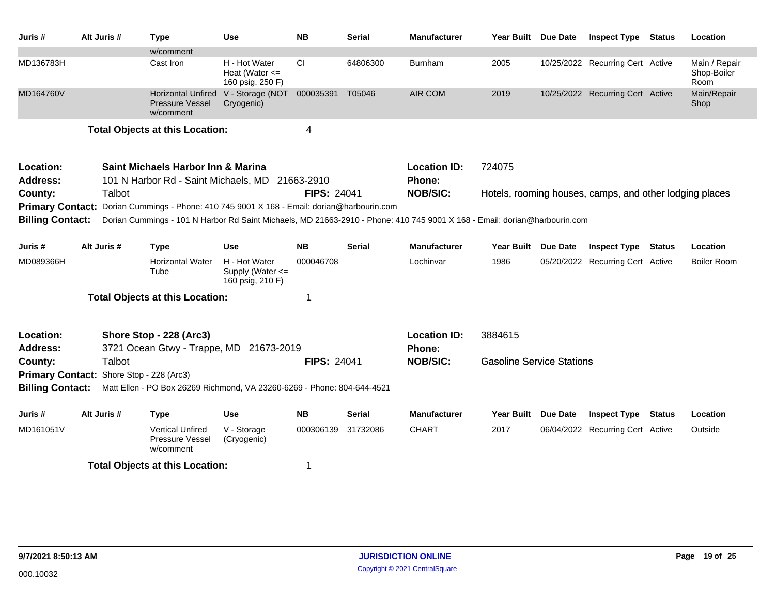| Juris #                 | Alt Juris #                              | <b>Type</b>                                                                                                               | <b>Use</b>                                                | <b>NB</b>          | <b>Serial</b> | <b>Manufacturer</b> | Year Built Due Date              |                 | <b>Inspect Type</b>                                     | <b>Status</b> | Location                             |
|-------------------------|------------------------------------------|---------------------------------------------------------------------------------------------------------------------------|-----------------------------------------------------------|--------------------|---------------|---------------------|----------------------------------|-----------------|---------------------------------------------------------|---------------|--------------------------------------|
|                         |                                          | w/comment                                                                                                                 |                                                           |                    |               |                     |                                  |                 |                                                         |               |                                      |
| MD136783H               |                                          | Cast Iron                                                                                                                 | H - Hot Water<br>Heat (Water $\leq$<br>160 psig, 250 F)   | <b>CI</b>          | 64806300      | Burnham             | 2005                             |                 | 10/25/2022 Recurring Cert Active                        |               | Main / Repair<br>Shop-Boiler<br>Room |
| MD164760V               |                                          | <b>Horizontal Unfired</b><br>Pressure Vessel<br>w/comment                                                                 | V - Storage (NOT<br>Cryogenic)                            | 000035391          | T05046        | <b>AIR COM</b>      | 2019                             |                 | 10/25/2022 Recurring Cert Active                        |               | Main/Repair<br>Shop                  |
|                         |                                          | <b>Total Objects at this Location:</b>                                                                                    |                                                           | 4                  |               |                     |                                  |                 |                                                         |               |                                      |
| Location:               |                                          | Saint Michaels Harbor Inn & Marina                                                                                        |                                                           |                    |               | <b>Location ID:</b> | 724075                           |                 |                                                         |               |                                      |
| <b>Address:</b>         |                                          | 101 N Harbor Rd - Saint Michaels, MD 21663-2910                                                                           |                                                           |                    |               | Phone:              |                                  |                 |                                                         |               |                                      |
| County:                 | Talbot                                   |                                                                                                                           |                                                           | <b>FIPS: 24041</b> |               | <b>NOB/SIC:</b>     |                                  |                 | Hotels, rooming houses, camps, and other lodging places |               |                                      |
|                         |                                          | Primary Contact: Dorian Cummings - Phone: 410 745 9001 X 168 - Email: dorian@harbourin.com                                |                                                           |                    |               |                     |                                  |                 |                                                         |               |                                      |
| <b>Billing Contact:</b> |                                          | Dorian Cummings - 101 N Harbor Rd Saint Michaels, MD 21663-2910 - Phone: 410 745 9001 X 168 - Email: dorian@harbourin.com |                                                           |                    |               |                     |                                  |                 |                                                         |               |                                      |
| Juris #                 | Alt Juris #                              | <b>Type</b>                                                                                                               | <b>Use</b>                                                | <b>NB</b>          | <b>Serial</b> | <b>Manufacturer</b> | <b>Year Built</b>                | <b>Due Date</b> | <b>Inspect Type</b>                                     | <b>Status</b> | Location                             |
| MD089366H               |                                          | <b>Horizontal Water</b><br>Tube                                                                                           | H - Hot Water<br>Supply (Water $\leq$<br>160 psig, 210 F) | 000046708          |               | Lochinvar           | 1986                             |                 | 05/20/2022 Recurring Cert Active                        |               | <b>Boiler Room</b>                   |
|                         |                                          | <b>Total Objects at this Location:</b>                                                                                    |                                                           | -1                 |               |                     |                                  |                 |                                                         |               |                                      |
| Location:               |                                          | Shore Stop - 228 (Arc3)                                                                                                   |                                                           |                    |               | <b>Location ID:</b> | 3884615                          |                 |                                                         |               |                                      |
| <b>Address:</b>         |                                          | 3721 Ocean Gtwy - Trappe, MD 21673-2019                                                                                   |                                                           |                    |               | <b>Phone:</b>       |                                  |                 |                                                         |               |                                      |
| County:                 | Talbot                                   |                                                                                                                           |                                                           | <b>FIPS: 24041</b> |               | <b>NOB/SIC:</b>     | <b>Gasoline Service Stations</b> |                 |                                                         |               |                                      |
|                         | Primary Contact: Shore Stop - 228 (Arc3) |                                                                                                                           |                                                           |                    |               |                     |                                  |                 |                                                         |               |                                      |
| <b>Billing Contact:</b> |                                          | Matt Ellen - PO Box 26269 Richmond, VA 23260-6269 - Phone: 804-644-4521                                                   |                                                           |                    |               |                     |                                  |                 |                                                         |               |                                      |
| Juris #                 | Alt Juris #                              | <b>Type</b>                                                                                                               | <b>Use</b>                                                | <b>NB</b>          | <b>Serial</b> | <b>Manufacturer</b> | <b>Year Built</b>                | <b>Due Date</b> | <b>Inspect Type</b>                                     | <b>Status</b> | Location                             |
| MD161051V               |                                          | <b>Vertical Unfired</b><br>Pressure Vessel<br>w/comment                                                                   | V - Storage<br>(Cryogenic)                                | 000306139          | 31732086      | <b>CHART</b>        | 2017                             |                 | 06/04/2022 Recurring Cert Active                        |               | Outside                              |
|                         |                                          | <b>Total Objects at this Location:</b>                                                                                    |                                                           | 1                  |               |                     |                                  |                 |                                                         |               |                                      |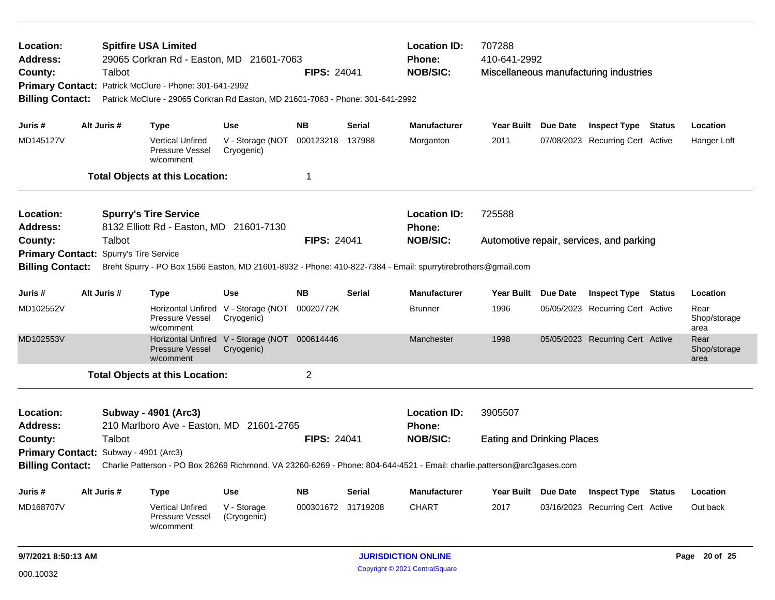| Location:<br><b>Address:</b><br>County:<br><b>Billing Contact:</b><br>Juris#                                                                                       |                                                                                                                                                    | Talbot      | <b>Spitfire USA Limited</b><br>29065 Corkran Rd - Easton, MD 21601-7063<br><b>FIPS: 24041</b><br>Primary Contact: Patrick McClure - Phone: 301-641-2992<br>Patrick McClure - 29065 Corkran Rd Easton, MD 21601-7063 - Phone: 301-641-2992 |                                                             |                    |                               |                               | <b>Location ID:</b><br>707288<br>Phone:<br>410-641-2992<br><b>NOB/SIC:</b><br>Miscellaneous manufacturing industries |          |                                          |  |                              |  |  |  |  |
|--------------------------------------------------------------------------------------------------------------------------------------------------------------------|----------------------------------------------------------------------------------------------------------------------------------------------------|-------------|-------------------------------------------------------------------------------------------------------------------------------------------------------------------------------------------------------------------------------------------|-------------------------------------------------------------|--------------------|-------------------------------|-------------------------------|----------------------------------------------------------------------------------------------------------------------|----------|------------------------------------------|--|------------------------------|--|--|--|--|
|                                                                                                                                                                    |                                                                                                                                                    | Alt Juris # | Type                                                                                                                                                                                                                                      | <b>Use</b>                                                  | <b>NB</b>          | <b>Serial</b>                 | <b>Manufacturer</b>           | Year Built Due Date                                                                                                  |          | <b>Inspect Type Status</b>               |  | Location                     |  |  |  |  |
| MD145127V                                                                                                                                                          |                                                                                                                                                    |             | <b>Vertical Unfired</b><br>Pressure Vessel<br>w/comment                                                                                                                                                                                   | V - Storage (NOT<br>Cryogenic)                              | 000123218          | 137988                        | Morganton                     | 2011                                                                                                                 |          | 07/08/2023 Recurring Cert Active         |  | Hanger Loft                  |  |  |  |  |
|                                                                                                                                                                    |                                                                                                                                                    |             | <b>Total Objects at this Location:</b>                                                                                                                                                                                                    |                                                             | 1                  |                               |                               |                                                                                                                      |          |                                          |  |                              |  |  |  |  |
| Location:<br><b>Spurry's Tire Service</b><br>8132 Elliott Rd - Easton, MD 21601-7130<br><b>Address:</b><br>Talbot<br><b>FIPS: 24041</b><br><b>Primary Contact:</b> |                                                                                                                                                    |             |                                                                                                                                                                                                                                           |                                                             |                    | <b>Location ID:</b><br>Phone: | 725588                        |                                                                                                                      |          |                                          |  |                              |  |  |  |  |
| County:                                                                                                                                                            |                                                                                                                                                    |             |                                                                                                                                                                                                                                           |                                                             |                    |                               | <b>NOB/SIC:</b>               |                                                                                                                      |          | Automotive repair, services, and parking |  |                              |  |  |  |  |
|                                                                                                                                                                    |                                                                                                                                                    |             | Spurry's Tire Service<br>Breht Spurry - PO Box 1566 Easton, MD 21601-8932 - Phone: 410-822-7384 - Email: spurrytirebrothers@gmail.com                                                                                                     |                                                             |                    |                               |                               |                                                                                                                      |          |                                          |  |                              |  |  |  |  |
| <b>Billing Contact:</b>                                                                                                                                            |                                                                                                                                                    |             |                                                                                                                                                                                                                                           |                                                             |                    |                               |                               |                                                                                                                      |          |                                          |  |                              |  |  |  |  |
| Juris #                                                                                                                                                            | Alt Juris #<br><b>NB</b><br>Type<br><b>Use</b>                                                                                                     |             |                                                                                                                                                                                                                                           |                                                             |                    | <b>Serial</b>                 | <b>Manufacturer</b>           | <b>Year Built</b>                                                                                                    | Due Date | <b>Inspect Type Status</b>               |  | Location                     |  |  |  |  |
| MD102552V                                                                                                                                                          |                                                                                                                                                    |             | Pressure Vessel<br>w/comment                                                                                                                                                                                                              | Horizontal Unfired V - Storage (NOT<br>Cryogenic)           | 00020772K          |                               | <b>Brunner</b>                | 1996                                                                                                                 |          | 05/05/2023 Recurring Cert Active         |  | Rear<br>Shop/storage<br>area |  |  |  |  |
| MD102553V                                                                                                                                                          |                                                                                                                                                    |             | Pressure Vessel<br>w/comment                                                                                                                                                                                                              | Horizontal Unfired V - Storage (NOT 000614446<br>Cryogenic) |                    |                               | Manchester                    | 1998                                                                                                                 |          | 05/05/2023 Recurring Cert Active         |  | Rear<br>Shop/storage<br>area |  |  |  |  |
|                                                                                                                                                                    |                                                                                                                                                    |             | <b>Total Objects at this Location:</b>                                                                                                                                                                                                    |                                                             | $\mathbf 2$        |                               |                               |                                                                                                                      |          |                                          |  |                              |  |  |  |  |
| Location:<br><b>Address:</b>                                                                                                                                       |                                                                                                                                                    |             | Subway - 4901 (Arc3)<br>210 Marlboro Ave - Easton, MD 21601-2765                                                                                                                                                                          |                                                             |                    |                               | <b>Location ID:</b><br>Phone: | 3905507                                                                                                              |          |                                          |  |                              |  |  |  |  |
| County:                                                                                                                                                            |                                                                                                                                                    | Talbot      |                                                                                                                                                                                                                                           |                                                             | <b>FIPS: 24041</b> |                               | <b>NOB/SIC:</b>               | <b>Eating and Drinking Places</b>                                                                                    |          |                                          |  |                              |  |  |  |  |
|                                                                                                                                                                    | Primary Contact: Subway - 4901 (Arc3)                                                                                                              |             |                                                                                                                                                                                                                                           |                                                             |                    |                               |                               |                                                                                                                      |          |                                          |  |                              |  |  |  |  |
|                                                                                                                                                                    | <b>Billing Contact:</b><br>Charlie Patterson - PO Box 26269 Richmond, VA 23260-6269 - Phone: 804-644-4521 - Email: charlie.patterson@arc3gases.com |             |                                                                                                                                                                                                                                           |                                                             |                    |                               |                               |                                                                                                                      |          |                                          |  |                              |  |  |  |  |
| Juris #                                                                                                                                                            |                                                                                                                                                    | Alt Juris # | <b>Type</b>                                                                                                                                                                                                                               | <b>Use</b>                                                  | <b>NB</b>          | Serial                        | <b>Manufacturer</b>           | Year Built Due Date                                                                                                  |          | <b>Inspect Type Status</b>               |  | Location                     |  |  |  |  |
| MD168707V                                                                                                                                                          |                                                                                                                                                    |             | <b>Vertical Unfired</b><br>Pressure Vessel<br>w/comment                                                                                                                                                                                   | V - Storage<br>(Cryogenic)                                  | 000301672 31719208 |                               | <b>CHART</b>                  | 2017                                                                                                                 |          | 03/16/2023 Recurring Cert Active         |  | Out back                     |  |  |  |  |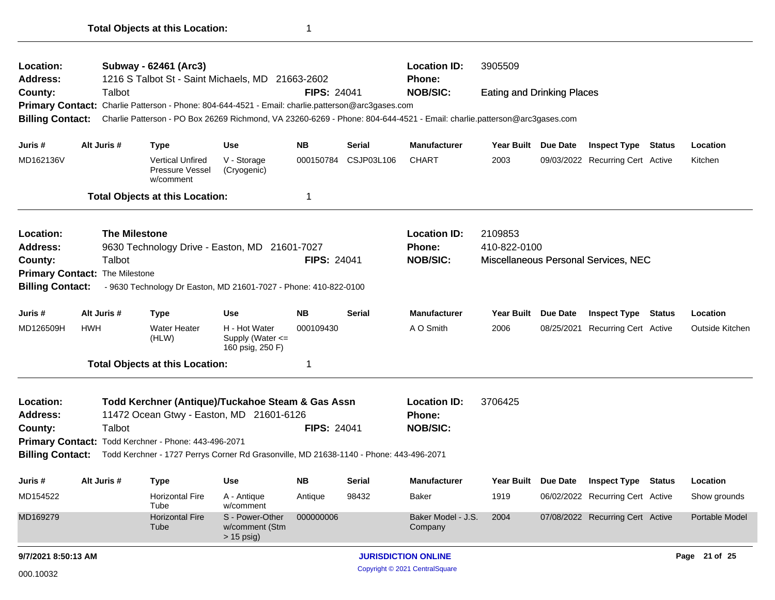| Location:<br><b>Address:</b>                                                                                                                                                                                                                                               |            |                                                                                                    | Subway - 62461 (Arc3)<br>1216 S Talbot St - Saint Michaels, MD 21663-2602                               |                                                   |                                                  |                            | <b>Location ID:</b><br>3905509<br><b>Phone:</b>                                                                         |                                   |                     |                                      |               |                 |
|----------------------------------------------------------------------------------------------------------------------------------------------------------------------------------------------------------------------------------------------------------------------------|------------|----------------------------------------------------------------------------------------------------|---------------------------------------------------------------------------------------------------------|---------------------------------------------------|--------------------------------------------------|----------------------------|-------------------------------------------------------------------------------------------------------------------------|-----------------------------------|---------------------|--------------------------------------|---------------|-----------------|
| County:                                                                                                                                                                                                                                                                    |            | Talbot                                                                                             |                                                                                                         |                                                   | <b>FIPS: 24041</b>                               |                            | <b>NOB/SIC:</b>                                                                                                         | <b>Eating and Drinking Places</b> |                     |                                      |               |                 |
|                                                                                                                                                                                                                                                                            |            |                                                                                                    | Primary Contact: Charlie Patterson - Phone: 804-644-4521 - Email: charlie.patterson@arc3gases.com       |                                                   |                                                  |                            |                                                                                                                         |                                   |                     |                                      |               |                 |
| <b>Billing Contact:</b>                                                                                                                                                                                                                                                    |            |                                                                                                    |                                                                                                         |                                                   |                                                  |                            | Charlie Patterson - PO Box 26269 Richmond, VA 23260-6269 - Phone: 804-644-4521 - Email: charlie.patterson@arc3gases.com |                                   |                     |                                      |               |                 |
| Juris #                                                                                                                                                                                                                                                                    |            | Alt Juris #                                                                                        | <b>Type</b>                                                                                             | Use                                               | <b>NB</b>                                        | Serial                     | <b>Manufacturer</b>                                                                                                     | Year Built Due Date               |                     | <b>Inspect Type Status</b>           |               | Location        |
| MD162136V                                                                                                                                                                                                                                                                  |            |                                                                                                    | <b>Vertical Unfired</b><br>Pressure Vessel<br>w/comment                                                 | V - Storage<br>(Cryogenic)                        | 000150784                                        | CSJP03L106                 | <b>CHART</b>                                                                                                            | 2003                              |                     | 09/03/2022 Recurring Cert Active     |               | Kitchen         |
|                                                                                                                                                                                                                                                                            |            |                                                                                                    | <b>Total Objects at this Location:</b>                                                                  |                                                   | 1                                                |                            |                                                                                                                         |                                   |                     |                                      |               |                 |
| <b>The Milestone</b><br>Location:<br>Address:<br>9630 Technology Drive - Easton, MD 21601-7027<br><b>FIPS: 24041</b><br>County:<br>Talbot<br>Primary Contact: The Milestone<br>- 9630 Technology Dr Easton, MD 21601-7027 - Phone: 410-822-0100<br><b>Billing Contact:</b> |            |                                                                                                    |                                                                                                         |                                                   |                                                  |                            | <b>Location ID:</b><br><b>Phone:</b><br><b>NOB/SIC:</b>                                                                 | 2109853<br>410-822-0100           |                     | Miscellaneous Personal Services, NEC |               |                 |
| Alt Juris #<br><b>NB</b><br><b>Use</b><br>Serial<br>Juris #<br>Type                                                                                                                                                                                                        |            |                                                                                                    |                                                                                                         |                                                   |                                                  | <b>Manufacturer</b>        | <b>Year Built</b>                                                                                                       | <b>Due Date</b>                   | <b>Inspect Type</b> | Status                               | Location      |                 |
| MD126509H                                                                                                                                                                                                                                                                  | <b>HWH</b> | <b>Water Heater</b><br>H - Hot Water<br>000109430<br>Supply (Water <=<br>(HLW)<br>160 psig, 250 F) |                                                                                                         |                                                   |                                                  |                            | A O Smith                                                                                                               | 2006                              | 08/25/2021          | Recurring Cert Active                |               | Outside Kitchen |
|                                                                                                                                                                                                                                                                            |            |                                                                                                    |                                                                                                         |                                                   | 1                                                |                            |                                                                                                                         |                                   |                     |                                      |               |                 |
| <b>Total Objects at this Location:</b><br>Location:<br>Todd Kerchner (Antique)/Tuckahoe Steam & Gas Assn<br><b>Address:</b><br>11472 Ocean Gtwy - Easton, MD 21601-6126<br>Talbot<br><b>FIPS: 24041</b><br>County:                                                         |            |                                                                                                    |                                                                                                         |                                                   | <b>Location ID:</b><br>Phone:<br><b>NOB/SIC:</b> | 3706425                    |                                                                                                                         |                                   |                     |                                      |               |                 |
|                                                                                                                                                                                                                                                                            |            |                                                                                                    | Primary Contact: Todd Kerchner - Phone: 443-496-2071                                                    |                                                   |                                                  |                            |                                                                                                                         |                                   |                     |                                      |               |                 |
|                                                                                                                                                                                                                                                                            |            |                                                                                                    | Billing Contact: Todd Kerchner - 1727 Perrys Corner Rd Grasonville, MD 21638-1140 - Phone: 443-496-2071 |                                                   |                                                  |                            |                                                                                                                         |                                   |                     |                                      |               |                 |
| Juris #                                                                                                                                                                                                                                                                    |            | Alt Juris #                                                                                        | <b>Type</b>                                                                                             | Use                                               | NΒ                                               | Serial                     | <b>Manufacturer</b>                                                                                                     | Year Built Due Date               |                     | <b>Inspect Type Status</b>           |               | Location        |
| MD154522                                                                                                                                                                                                                                                                   |            |                                                                                                    | <b>Horizontal Fire</b><br>Tube                                                                          | A - Antique<br>w/comment                          | Antique                                          | 98432                      | Baker                                                                                                                   | 1919                              |                     | 06/02/2022 Recurring Cert Active     |               | Show grounds    |
| MD169279                                                                                                                                                                                                                                                                   |            |                                                                                                    | <b>Horizontal Fire</b><br>Tube                                                                          | S - Power-Other<br>w/comment (Stm<br>$> 15$ psig) | 000000006                                        |                            | Baker Model - J.S.<br>Company                                                                                           | 2004                              |                     | 07/08/2022 Recurring Cert Active     |               | Portable Model  |
| 9/7/2021 8:50:13 AM                                                                                                                                                                                                                                                        |            |                                                                                                    |                                                                                                         |                                                   |                                                  | <b>JURISDICTION ONLINE</b> |                                                                                                                         |                                   |                     |                                      | Page 21 of 25 |                 |
| 000.10032                                                                                                                                                                                                                                                                  |            |                                                                                                    |                                                                                                         |                                                   |                                                  |                            | Copyright © 2021 CentralSquare                                                                                          |                                   |                     |                                      |               |                 |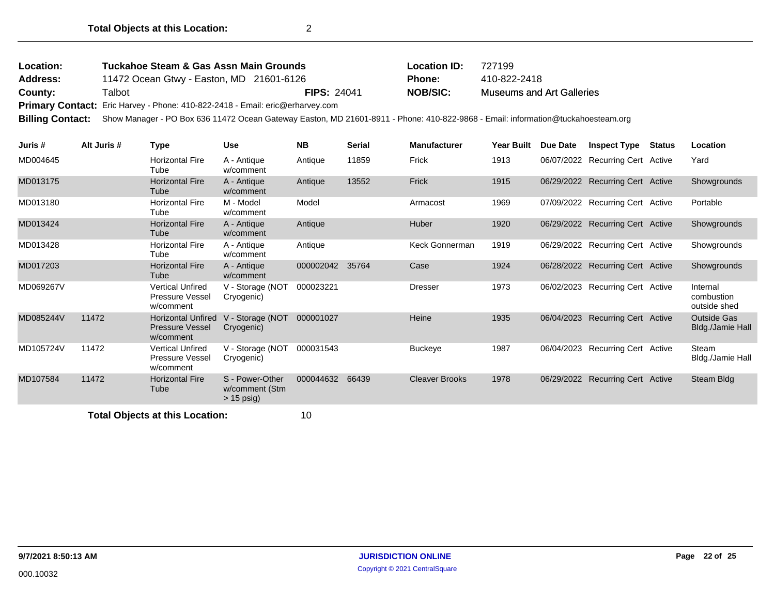| Location:       | <b>Tuckahoe Steam &amp; Gas Assn Main Grounds</b>                             |             | <b>Location ID:</b> | 727199                           |
|-----------------|-------------------------------------------------------------------------------|-------------|---------------------|----------------------------------|
| <b>Address:</b> | 11472 Ocean Gtwy - Easton, MD 21601-6126                                      |             | <b>Phone:</b>       | 410-822-2418                     |
| County:         | Talbot                                                                        | FIPS: 24041 | <b>NOB/SIC:</b>     | <b>Museums and Art Galleries</b> |
|                 | Primary Contact: Eric Harvey - Phone: 410-822-2418 - Email: eric@erharvey.com |             |                     |                                  |

**Billing Contact:** Show Manager - PO Box 636 11472 Ocean Gateway Easton, MD 21601-8911 - Phone: 410-822-9868 - Email: information@tuckahoesteam.org

| Juris #   | Alt Juris # | Type                                                           | <b>Use</b>                                        | <b>NB</b> | <b>Serial</b> | <b>Manufacturer</b>   | <b>Year Built</b> | Due Date   | <b>Inspect Type</b>              | Status | Location                               |
|-----------|-------------|----------------------------------------------------------------|---------------------------------------------------|-----------|---------------|-----------------------|-------------------|------------|----------------------------------|--------|----------------------------------------|
| MD004645  |             | <b>Horizontal Fire</b><br>Tube                                 | A - Antique<br>w/comment                          | Antique   | 11859         | Frick                 | 1913              |            | 06/07/2022 Recurring Cert Active |        | Yard                                   |
| MD013175  |             | <b>Horizontal Fire</b><br>Tube                                 | A - Antique<br>w/comment                          | Antique   | 13552         | Frick                 | 1915              |            | 06/29/2022 Recurring Cert Active |        | Showgrounds                            |
| MD013180  |             | <b>Horizontal Fire</b><br>Tube                                 | M - Model<br>w/comment                            | Model     |               | Armacost              | 1969              |            | 07/09/2022 Recurring Cert Active |        | Portable                               |
| MD013424  |             | <b>Horizontal Fire</b><br>Tube                                 | A - Antique<br>w/comment                          | Antique   |               | Huber                 | 1920              |            | 06/29/2022 Recurring Cert Active |        | Showgrounds                            |
| MD013428  |             | <b>Horizontal Fire</b><br>Tube                                 | A - Antique<br>w/comment                          | Antique   |               | Keck Gonnerman        | 1919              |            | 06/29/2022 Recurring Cert Active |        | Showgrounds                            |
| MD017203  |             | <b>Horizontal Fire</b><br>Tube                                 | A - Antique<br>w/comment                          | 000002042 | 35764         | Case                  | 1924              |            | 06/28/2022 Recurring Cert Active |        | Showgrounds                            |
| MD069267V |             | <b>Vertical Unfired</b><br><b>Pressure Vessel</b><br>w/comment | V - Storage (NOT<br>Cryogenic)                    | 000023221 |               | <b>Dresser</b>        | 1973              |            | 06/02/2023 Recurring Cert Active |        | Internal<br>combustion<br>outside shed |
| MD085244V | 11472       | <b>Horizontal Unfired</b><br>Pressure Vessel<br>w/comment      | V - Storage (NOT<br>Cryogenic)                    | 000001027 |               | Heine                 | 1935              | 06/04/2023 | <b>Recurring Cert Active</b>     |        | <b>Outside Gas</b><br>Bldg./Jamie Hall |
| MD105724V | 11472       | <b>Vertical Unfired</b><br><b>Pressure Vessel</b><br>w/comment | V - Storage (NOT<br>Cryogenic)                    | 000031543 |               | <b>Buckeye</b>        | 1987              | 06/04/2023 | <b>Recurring Cert Active</b>     |        | Steam<br>Bldg./Jamie Hall              |
| MD107584  | 11472       | <b>Horizontal Fire</b><br>Tube                                 | S - Power-Other<br>w/comment (Stm<br>$> 15$ psig) | 000044632 | 66439         | <b>Cleaver Brooks</b> | 1978              |            | 06/29/2022 Recurring Cert Active |        | Steam Bldg                             |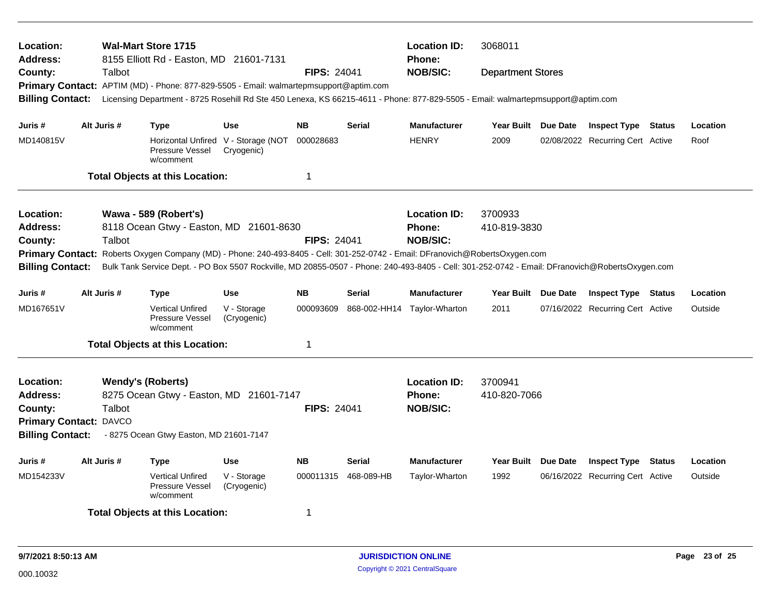| Location:<br><b>Address:</b>                 |                               | <b>Wal-Mart Store 1715</b><br>8155 Elliott Rd - Easton, MD 21601-7131                                                                           |                                                   |                    |                      | <b>Location ID:</b><br>3068011<br><b>Phone:</b> |                          |                 |                                  |        |          |
|----------------------------------------------|-------------------------------|-------------------------------------------------------------------------------------------------------------------------------------------------|---------------------------------------------------|--------------------|----------------------|-------------------------------------------------|--------------------------|-----------------|----------------------------------|--------|----------|
| County:                                      | Talbot                        |                                                                                                                                                 |                                                   | <b>FIPS: 24041</b> |                      | <b>NOB/SIC:</b>                                 | <b>Department Stores</b> |                 |                                  |        |          |
|                                              |                               | Primary Contact: APTIM (MD) - Phone: 877-829-5505 - Email: walmartepmsupport@aptim.com                                                          |                                                   |                    |                      |                                                 |                          |                 |                                  |        |          |
| <b>Billing Contact:</b>                      |                               | Licensing Department - 8725 Rosehill Rd Ste 450 Lenexa, KS 66215-4611 - Phone: 877-829-5505 - Email: walmartepmsupport@aptim.com                |                                                   |                    |                      |                                                 |                          |                 |                                  |        |          |
| Juris #                                      | Alt Juris #                   | Type                                                                                                                                            | <b>Use</b>                                        | <b>NB</b>          | <b>Serial</b>        | <b>Manufacturer</b>                             | Year Built Due Date      |                 | <b>Inspect Type Status</b>       |        | Location |
| MD140815V                                    |                               | Pressure Vessel<br>w/comment                                                                                                                    | Horizontal Unfired V - Storage (NOT<br>Cryogenic) | 000028683          |                      | <b>HENRY</b>                                    | 2009                     |                 | 02/08/2022 Recurring Cert Active |        | Roof     |
|                                              |                               | <b>Total Objects at this Location:</b>                                                                                                          |                                                   | $\overline{1}$     |                      |                                                 |                          |                 |                                  |        |          |
| Location:                                    |                               | Wawa - 589 (Robert's)                                                                                                                           |                                                   |                    |                      | <b>Location ID:</b>                             | 3700933                  |                 |                                  |        |          |
| Address:                                     |                               | 8118 Ocean Gtwy - Easton, MD 21601-8630                                                                                                         |                                                   |                    |                      | <b>Phone:</b>                                   | 410-819-3830             |                 |                                  |        |          |
| County:                                      | Talbot                        |                                                                                                                                                 |                                                   | <b>FIPS: 24041</b> |                      | <b>NOB/SIC:</b>                                 |                          |                 |                                  |        |          |
|                                              |                               | Primary Contact: Roberts Oxygen Company (MD) - Phone: 240-493-8405 - Cell: 301-252-0742 - Email: DFranovich@RobertsOxygen.com                   |                                                   |                    |                      |                                                 |                          |                 |                                  |        |          |
| <b>Billing Contact:</b>                      |                               | Bulk Tank Service Dept. - PO Box 5507 Rockville, MD 20855-0507 - Phone: 240-493-8405 - Cell: 301-252-0742 - Email: DFranovich@RobertsOxygen.com |                                                   |                    |                      |                                                 |                          |                 |                                  |        |          |
| Juris #                                      | Alt Juris #                   | Type                                                                                                                                            | <b>Use</b>                                        | <b>NB</b>          | <b>Serial</b>        | <b>Manufacturer</b>                             | Year Built Due Date      |                 | <b>Inspect Type Status</b>       |        | Location |
| MD167651V                                    |                               | <b>Vertical Unfired</b><br>Pressure Vessel<br>w/comment                                                                                         | V - Storage<br>(Cryogenic)                        | 000093609          |                      | 868-002-HH14 Taylor-Wharton                     | 2011                     |                 | 07/16/2022 Recurring Cert Active |        | Outside  |
|                                              |                               | <b>Total Objects at this Location:</b>                                                                                                          |                                                   | $\mathbf 1$        |                      |                                                 |                          |                 |                                  |        |          |
| <b>Location:</b>                             |                               | <b>Wendy's (Roberts)</b>                                                                                                                        |                                                   |                    |                      | <b>Location ID:</b>                             | 3700941                  |                 |                                  |        |          |
| <b>Address:</b>                              |                               | 8275 Ocean Gtwy - Easton, MD 21601-7147                                                                                                         |                                                   |                    |                      | Phone:                                          | 410-820-7066             |                 |                                  |        |          |
| County:                                      | Talbot                        |                                                                                                                                                 |                                                   | <b>FIPS: 24041</b> |                      | <b>NOB/SIC:</b>                                 |                          |                 |                                  |        |          |
|                                              | <b>Primary Contact: DAVCO</b> |                                                                                                                                                 |                                                   |                    |                      |                                                 |                          |                 |                                  |        |          |
| <b>Billing Contact:</b>                      |                               | - 8275 Ocean Gtwy Easton, MD 21601-7147                                                                                                         |                                                   |                    |                      |                                                 |                          |                 |                                  |        |          |
| Juris #                                      | Alt Juris #                   | Type                                                                                                                                            | Use                                               | <b>NB</b>          | <b>Serial</b>        | <b>Manufacturer</b>                             | <b>Year Built</b>        | <b>Due Date</b> | <b>Inspect Type</b>              | Status | Location |
| MD154233V                                    |                               | <b>Vertical Unfired</b><br>Pressure Vessel<br>w/comment                                                                                         | V - Storage<br>(Cryogenic)                        |                    | 000011315 468-089-HB | Taylor-Wharton                                  | 1992                     |                 | 06/16/2022 Recurring Cert Active |        | Outside  |
| -1<br><b>Total Objects at this Location:</b> |                               |                                                                                                                                                 |                                                   |                    |                      |                                                 |                          |                 |                                  |        |          |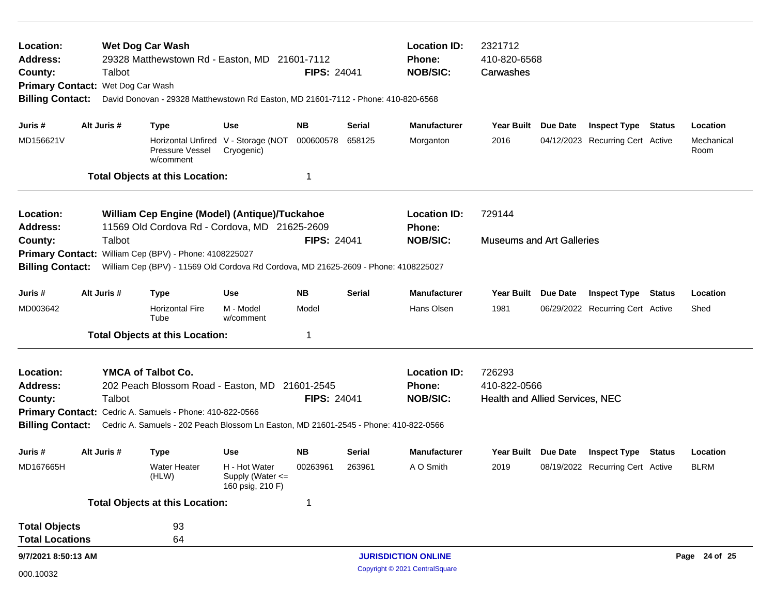| Location:<br><b>Wet Dog Car Wash</b><br><b>Address:</b><br>29328 Matthewstown Rd - Easton, MD 21601-7112<br>Talbot<br>County:<br>Wet Dog Car Wash<br><b>Primary Contact:</b><br><b>Billing Contact:</b><br>David Donovan - 29328 Matthewstown Rd Easton, MD 21601-7112 - Phone: 410-820-6568 |                                                                                                                                                                                                                                                             |                                                                                                                                               |                                                           | <b>FIPS: 24041</b> |               | <b>Location ID:</b><br>Phone:<br><b>NOB/SIC:</b> | 2321712<br>410-820-6568<br>Carwashes                      |                 |                                  |        |                    |
|----------------------------------------------------------------------------------------------------------------------------------------------------------------------------------------------------------------------------------------------------------------------------------------------|-------------------------------------------------------------------------------------------------------------------------------------------------------------------------------------------------------------------------------------------------------------|-----------------------------------------------------------------------------------------------------------------------------------------------|-----------------------------------------------------------|--------------------|---------------|--------------------------------------------------|-----------------------------------------------------------|-----------------|----------------------------------|--------|--------------------|
| Juris #                                                                                                                                                                                                                                                                                      | Alt Juris #                                                                                                                                                                                                                                                 | <b>Type</b>                                                                                                                                   | Use                                                       | <b>NB</b>          | Serial        | <b>Manufacturer</b>                              | Year Built                                                | Due Date        | <b>Inspect Type Status</b>       |        | Location           |
| MD156621V                                                                                                                                                                                                                                                                                    |                                                                                                                                                                                                                                                             | Pressure Vessel<br>w/comment                                                                                                                  | Horizontal Unfired V - Storage (NOT<br>Cryogenic)         | 000600578          | 658125        | Morganton                                        | 2016                                                      |                 | 04/12/2023 Recurring Cert Active |        | Mechanical<br>Room |
|                                                                                                                                                                                                                                                                                              |                                                                                                                                                                                                                                                             | <b>Total Objects at this Location:</b>                                                                                                        |                                                           | -1                 |               |                                                  |                                                           |                 |                                  |        |                    |
| Location:<br><b>Address:</b>                                                                                                                                                                                                                                                                 | William Cep Engine (Model) (Antique)/Tuckahoe<br>11569 Old Cordova Rd - Cordova, MD 21625-2609                                                                                                                                                              |                                                                                                                                               |                                                           |                    |               | <b>Location ID:</b><br>Phone:                    | 729144                                                    |                 |                                  |        |                    |
| County:<br><b>Billing Contact:</b>                                                                                                                                                                                                                                                           | Talbot                                                                                                                                                                                                                                                      | Primary Contact: William Cep (BPV) - Phone: 4108225027<br>William Cep (BPV) - 11569 Old Cordova Rd Cordova, MD 21625-2609 - Phone: 4108225027 |                                                           | <b>FIPS: 24041</b> |               | <b>NOB/SIC:</b>                                  | <b>Museums and Art Galleries</b>                          |                 |                                  |        |                    |
| Juris #                                                                                                                                                                                                                                                                                      | Alt Juris #                                                                                                                                                                                                                                                 | <b>Type</b>                                                                                                                                   | <b>Use</b>                                                | <b>NB</b>          | <b>Serial</b> | <b>Manufacturer</b>                              | <b>Year Built</b>                                         | <b>Due Date</b> | <b>Inspect Type Status</b>       |        | Location           |
| MD003642                                                                                                                                                                                                                                                                                     |                                                                                                                                                                                                                                                             | <b>Horizontal Fire</b><br>Tube                                                                                                                | M - Model<br>w/comment                                    | Model              |               | Hans Olsen                                       | 1981                                                      |                 | 06/29/2022 Recurring Cert Active |        | Shed               |
|                                                                                                                                                                                                                                                                                              |                                                                                                                                                                                                                                                             | <b>Total Objects at this Location:</b>                                                                                                        |                                                           | -1                 |               |                                                  |                                                           |                 |                                  |        |                    |
| Location:<br><b>Address:</b><br>County:<br><b>Billing Contact:</b>                                                                                                                                                                                                                           | YMCA of Talbot Co.<br>202 Peach Blossom Road - Easton, MD<br>21601-2545<br>Talbot<br><b>FIPS: 24041</b><br>Primary Contact: Cedric A. Samuels - Phone: 410-822-0566<br>Cedric A. Samuels - 202 Peach Blossom Ln Easton, MD 21601-2545 - Phone: 410-822-0566 |                                                                                                                                               |                                                           |                    |               | <b>Location ID:</b><br>Phone:<br><b>NOB/SIC:</b> | 726293<br>410-822-0566<br>Health and Allied Services, NEC |                 |                                  |        |                    |
| Juris #                                                                                                                                                                                                                                                                                      | Alt Juris #                                                                                                                                                                                                                                                 | <b>Type</b>                                                                                                                                   | <b>Use</b>                                                | <b>NB</b>          | Serial        | <b>Manufacturer</b>                              | Year Built                                                | Due Date        | <b>Inspect Type</b>              | Status | Location           |
| MD167665H                                                                                                                                                                                                                                                                                    |                                                                                                                                                                                                                                                             | Water Heater<br>(HLW)                                                                                                                         | H - Hot Water<br>Supply (Water $\leq$<br>160 psig, 210 F) | 00263961           | 263961        | A O Smith                                        | 2019                                                      |                 | 08/19/2022 Recurring Cert Active |        | <b>BLRM</b>        |
|                                                                                                                                                                                                                                                                                              |                                                                                                                                                                                                                                                             | <b>Total Objects at this Location:</b>                                                                                                        |                                                           |                    |               |                                                  |                                                           |                 |                                  |        |                    |
| <b>Total Objects</b><br><b>Total Locations</b>                                                                                                                                                                                                                                               |                                                                                                                                                                                                                                                             | 93<br>64                                                                                                                                      |                                                           |                    |               |                                                  |                                                           |                 |                                  |        |                    |
| 9/7/2021 8:50:13 AM                                                                                                                                                                                                                                                                          |                                                                                                                                                                                                                                                             |                                                                                                                                               |                                                           |                    |               | <b>JURISDICTION ONLINE</b>                       |                                                           |                 |                                  |        | Page 24 of 25      |
| 000.10032                                                                                                                                                                                                                                                                                    |                                                                                                                                                                                                                                                             |                                                                                                                                               |                                                           |                    |               | Copyright © 2021 CentralSquare                   |                                                           |                 |                                  |        |                    |